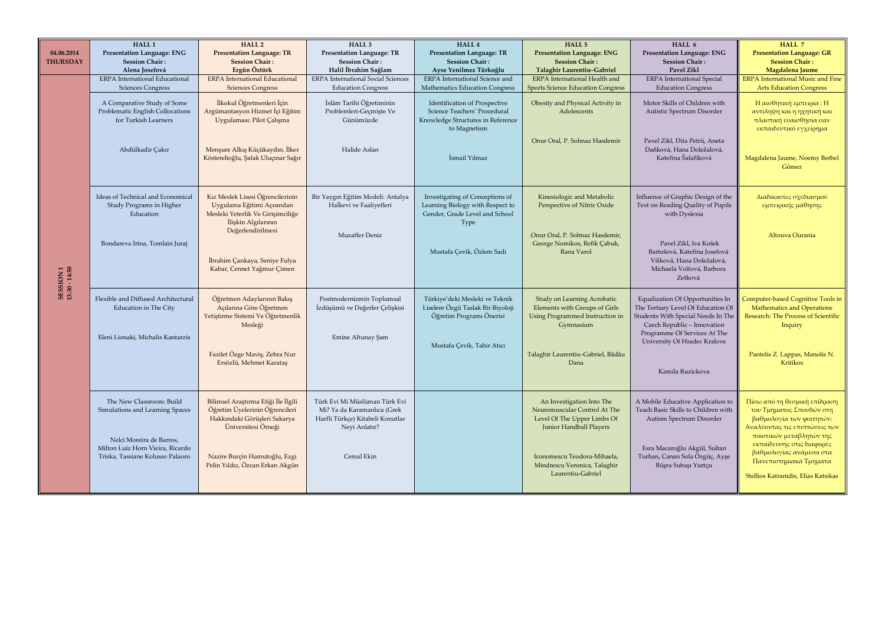|                            | HALL <sub>1</sub>                                                                                                                                               | HALL <sub>2</sub>                                                                                                                                                                                | HALL <sub>3</sub>                                                                                                               | HALL 4                                                                                                                              | HALL 5                                                                                                                                                                                                  | HALL 6                                                                                                                                                                                                                          | HALL 7                                                                                                                                                                                                                                                                     |
|----------------------------|-----------------------------------------------------------------------------------------------------------------------------------------------------------------|--------------------------------------------------------------------------------------------------------------------------------------------------------------------------------------------------|---------------------------------------------------------------------------------------------------------------------------------|-------------------------------------------------------------------------------------------------------------------------------------|---------------------------------------------------------------------------------------------------------------------------------------------------------------------------------------------------------|---------------------------------------------------------------------------------------------------------------------------------------------------------------------------------------------------------------------------------|----------------------------------------------------------------------------------------------------------------------------------------------------------------------------------------------------------------------------------------------------------------------------|
| 04.06.2014                 | <b>Presentation Language: ENG</b>                                                                                                                               | <b>Presentation Language: TR</b>                                                                                                                                                                 | <b>Presentation Language: TR</b>                                                                                                | <b>Presentation Language: TR</b>                                                                                                    | <b>Presentation Language: ENG</b>                                                                                                                                                                       | Presentation Language: ENG                                                                                                                                                                                                      | <b>Presentation Language: GR</b>                                                                                                                                                                                                                                           |
| <b>THURSDAY</b>            | <b>Session Chair:</b><br>Alena Josefová                                                                                                                         | <b>Session Chair:</b><br>Ergün Öztürk                                                                                                                                                            | <b>Session Chair:</b><br>Halil İbrahim Sağlam                                                                                   | <b>Session Chair:</b><br>Ayse Yenilmez Türkoğlu                                                                                     | <b>Session Chair:</b><br>Talaghir Laurentiu-Gabriel                                                                                                                                                     | <b>Session Chair:</b><br>Pavel Zikl                                                                                                                                                                                             | <b>Session Chair:</b><br>Magdalena Jaume                                                                                                                                                                                                                                   |
|                            | ERPA International Educational                                                                                                                                  | <b>ERPA</b> International Educational                                                                                                                                                            | <b>ERPA</b> International Social Sciences                                                                                       | ERPA International Science and                                                                                                      | ERPA International Health and                                                                                                                                                                           | <b>ERPA</b> International Special                                                                                                                                                                                               | <b>ERPA</b> International Music and Fine                                                                                                                                                                                                                                   |
|                            | <b>Sciences Congress</b>                                                                                                                                        | <b>Sciences Congress</b>                                                                                                                                                                         | <b>Education Congress</b>                                                                                                       | <b>Mathematics Education Congress</b>                                                                                               | <b>Sports Science Education Congress</b>                                                                                                                                                                | <b>Education Congress</b>                                                                                                                                                                                                       | <b>Arts Education Congress</b>                                                                                                                                                                                                                                             |
|                            | A Comparative Study of Some<br>Problematic English Collocations<br>for Turkish Learners<br>Abdülkadir Çakır                                                     | İlkokul Öğretmenleri İçin<br>Argümantasyon Hizmet İçi Eğitim<br>Uygulaması: Pilot Çalışma<br>Menşure Alkış Küçükaydın, İlker<br>Kösterelioğlu, Şafak Uluçınar Sağır                              | İslâm Tarihi Öğretiminin<br>Problemleri-Geçmişte Ve<br>Günümüzde<br>Halide Aslan                                                | Identification of Prospective<br>Science Teachers' Procedural<br>Knowledge Structures in Reference<br>to Magnetism<br>İsmail Yılmaz | Obesity and Physical Activity in<br>Adolescents<br>Onur Oral, P. Solmaz Hasdemir                                                                                                                        | Motor Skills of Children with<br>Autistic Spectrum Disorder<br>Pavel Zikl, Dita Petrů, Aneta<br>Daňková, Hana Doležalová,<br>Kateřina Šafaříková                                                                                | Η αισθητική εμπειρία: Η<br>αντίληψη και η ηχητική και<br>πλαστική ευαισθησία σαν<br>εκπαιδευτικό εγχείρημα<br>Magdalena Jaume, Noemy Berbel<br>Gómez                                                                                                                       |
|                            | Ideas of Technical and Economical<br>Study Programs in Higher<br>Education                                                                                      | Kız Meslek Lisesi Öğrencilerinin<br>Uygulama Eğitimi Açısından<br>Mesleki Yeterlik Ve Girişimciliğe<br>İlişkin Algılarının                                                                       | Bir Yaygın Eğitim Modeli: Antalya<br>Halkevi ve Faaliyetleri                                                                    | Investigating of Conceptions of<br>Learning Biology with Respect to<br>Gender, Grade Level and School<br>Type                       | Kinesiologic and Metabolic<br>Perspective of Nitric Oxide                                                                                                                                               | Influence of Graphic Design of the<br>Text on Reading Quality of Pupils<br>with Dyslexia                                                                                                                                        | Διαδικασίες σχεδιασμού<br>εμπειρικής μάθησης                                                                                                                                                                                                                               |
| SESSION 1<br>13:30 - 14:50 | Bondareva Irina, Tomlain Juraj                                                                                                                                  | Değerlendirilmesi<br>İbrahim Çankaya, Seniye Fulya<br>Kabar, Cennet Yağmur Çimen                                                                                                                 | Muzaffer Deniz                                                                                                                  | Mustafa Çevik, Özlem Sadi                                                                                                           | Onur Oral, P. Solmaz Hasdemir,<br>George Nomikos, Refik Çabuk,<br>Rana Varol                                                                                                                            | Pavel Zikl, Iva Košek<br>Bartošová, Kateřina Josefová<br>Víšková, Hana Doležalová,<br>Michaela Volfová, Barbora<br>Zetková                                                                                                      | Altouva Ourania                                                                                                                                                                                                                                                            |
|                            | Flexible and Diffused Architectural<br><b>Education in The City</b><br>Eleni Lionaki, Michalis Kantarzis                                                        | Öğretmen Adaylarının Bakış<br>Açılarına Göre Öğretmen<br>Yetiştirme Sistemi Ve Öğretmenlik<br>Mesleği<br>Fazilet Özge Maviş, Zehra Nur<br>Ersözlü, Mehmet Karataş                                | Postmodernizmin Toplumsal<br>İzdüşümü ve Değerler Çelişkisi<br>Emine Altunay Şam                                                | Türkiye'deki Mesleki ve Teknik<br>Liselere Özgü Taslak Bir Biyoloji<br>Öğretim Programı Önerisi<br>Mustafa Çevik, Tahir Atıcı       | Study on Learning Acrobatic<br>Elements with Groups of Girls<br>Using Programmed Instruction in<br>Gymnasium<br>Talaghir Laurentiu-Gabriel, Bădău<br>Dana                                               | Equalization Of Opportunities In<br>The Tertiary Level Of Education Of<br>Students With Special Needs In The<br>Czech Republic - Innovation<br>Programme Of Services At The<br>University Of Hradec Kralove<br>Kamila Ruzickova | Computer-based Cognitive Tools in<br>Mathematics and Operations<br>Research: The Process of Scientific<br>Inquiry<br>Pantelis Z. Lappas, Manolis N.<br>Kritikos                                                                                                            |
|                            | The New Classroom: Build<br>Simulations and Learning Spaces<br>Nelci Moreira de Barros,<br>Milton Luiz Horn Vieira, Ricardo<br>Triska. Tassiane Kolusso Palaoro | Bilimsel Araştırma Etiği İle İlgili<br>Öğretim Üyelerinin Öğrencileri<br>Hakkındaki Görüşleri Sakarya<br>Üniversitesi Örneği<br>Nazire Burçin Hamutoğlu, Ezgi<br>Pelin Yıldız, Özcan Erkan Akgün | Türk Evi Mi Müslüman Türk Evi<br>Mi? Ya da Karamanlıca (Grek<br>Harfli Türkçe) Kitabeli Konutlar<br>Neyi Anlatır?<br>Cemal Ekin |                                                                                                                                     | An Investigation Into The<br>Neuromuscular Control At The<br>Level Of The Upper Limbs Of<br>Junior Handball Players<br>Iconomescu Teodora-Mihaela,<br>Mindrescu Veronica, Talaghir<br>Laurentiu-Gabriel | A Mobile Educative Application to<br>Teach Basic Skills to Children with<br>Autism Spectrum Disorder<br>Esra Macaroğlu Akgül, Sultan<br>Turhan, Canan Sola Özgüç, Ayşe<br>Büşra Subaşı Yurtçu                                   | Πίσω από τη θεσμική επίδραση<br>του Τμήματος Σπουδών στη<br>βαθμολογία των φοιτητών:<br>Αναλύοντας τις επιπτώσεις των<br>ποιοτικών μεταβλητών της<br>εκπαίδευσης στις διαφορές<br>βαθμολογίας ανάμεσα στα<br>Πανεπιστημιακά Τμήματα<br>Stellios Katranidis, Elias Katsikas |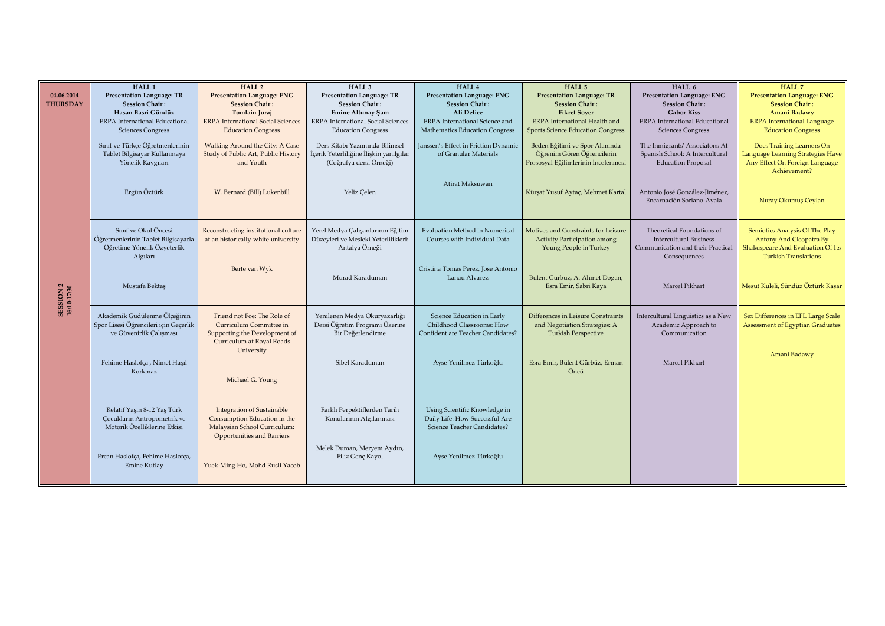| 04.06.2014<br><b>THURSDAY</b> | HALL <sub>1</sub><br><b>Presentation Language: TR</b><br><b>Session Chair:</b><br>Hasan Basri Gündüz   | HALL <sub>2</sub><br><b>Presentation Language: ENG</b><br><b>Session Chair:</b><br><b>Tomlain Juraj</b>                                | HALL <sub>3</sub><br><b>Presentation Language: TR</b><br><b>Session Chair:</b><br><b>Emine Altunay Şam</b> | HALL 4<br><b>Presentation Language: ENG</b><br><b>Session Chair:</b><br>Ali Delice             | HALL <sub>5</sub><br><b>Presentation Language: TR</b><br><b>Session Chair:</b><br><b>Fikret Soyer</b> | HALL 6<br><b>Presentation Language: ENG</b><br><b>Session Chair:</b><br><b>Gabor Kiss</b>                        | HALL 7<br><b>Presentation Language: ENG</b><br><b>Session Chair:</b><br>Amani Badawy                                                 |
|-------------------------------|--------------------------------------------------------------------------------------------------------|----------------------------------------------------------------------------------------------------------------------------------------|------------------------------------------------------------------------------------------------------------|------------------------------------------------------------------------------------------------|-------------------------------------------------------------------------------------------------------|------------------------------------------------------------------------------------------------------------------|--------------------------------------------------------------------------------------------------------------------------------------|
|                               | <b>ERPA</b> International Educational<br><b>Sciences Congress</b>                                      | <b>ERPA</b> International Social Sciences<br><b>Education Congress</b>                                                                 | <b>ERPA</b> International Social Sciences<br><b>Education Congress</b>                                     | ERPA International Science and<br>Mathematics Education Congress                               | ERPA International Health and<br><b>Sports Science Education Congress</b>                             | ERPA International Educational<br><b>Sciences Congress</b>                                                       | <b>ERPA</b> International Language<br><b>Education Congress</b>                                                                      |
|                               | Sınıf ve Türkçe Öğretmenlerinin<br>Tablet Bilgisayar Kullanmaya<br>Yönelik Kaygıları                   | Walking Around the City: A Case<br>Study of Public Art, Public History<br>and Youth                                                    | Ders Kitabı Yazımında Bilimsel<br>İçerik Yeterliliğine İlişkin yanılgılar<br>(Coğrafya dersi Örneği)       | Janssen's Effect in Friction Dynamic<br>of Granular Materials                                  | Beden Eğitimi ve Spor Alanında<br>Öğrenim Gören Öğrencilerin<br>Prososyal Eğilimlerinin İncelenmesi   | The Inmigrants' Associatons At<br>Spanish School: A Intercultural<br><b>Education Proposal</b>                   | Does Training Learners On<br>Language Learning Strategies Have<br>Any Effect On Foreign Language<br>Achievement?                     |
|                               | Ergün Öztürk                                                                                           | W. Bernard (Bill) Lukenbill                                                                                                            | Yeliz Celen                                                                                                | Atirat Maksuwan                                                                                | Kürşat Yusuf Aytaç, Mehmet Kartal                                                                     | Antonio José González-Jiménez,<br>Encarnación Soriano-Ayala                                                      | Nuray Okumuş Ceylan                                                                                                                  |
| SESSION 2<br>16:10-17:30      | Sınıf ve Okul Öncesi<br>Öğretmenlerinin Tablet Bilgisayarla<br>Öğretime Yönelik Özyeterlik<br>Algıları | Reconstructing institutional culture<br>at an historically-white university                                                            | Yerel Medya Çalışanlarının Eğitim<br>Düzeyleri ve Mesleki Yeterlilikleri:<br>Antalya Örneği                | <b>Evaluation Method in Numerical</b><br>Courses with Individual Data                          | Motives and Constraints for Leisure<br><b>Activity Participation among</b><br>Young People in Turkey  | Theoretical Foundations of<br><b>Intercultural Business</b><br>Communication and their Practical<br>Consequences | Semiotics Analysis Of The Play<br><b>Antony And Cleopatra By</b><br>Shakespeare And Evaluation Of Its<br><b>Turkish Translations</b> |
|                               | Mustafa Bektaş                                                                                         | Berte van Wyk                                                                                                                          | Murad Karaduman                                                                                            | Cristina Tomas Perez, Jose Antonio<br>Lanau Alvarez                                            | Bulent Gurbuz, A. Ahmet Dogan,<br>Esra Emir, Sabri Kaya                                               | Marcel Pikhart                                                                                                   | Mesut Kuleli, Sündüz Öztürk Kasar                                                                                                    |
|                               | Akademik Güdülenme Ölçeğinin<br>Spor Lisesi Öğrencileri için Geçerlik<br>ve Güvenirlik Çalışması       | Friend not Foe: The Role of<br>Curriculum Committee in<br>Supporting the Development of<br>Curriculum at Royal Roads                   | Yenilenen Medya Okuryazarlığı<br>Dersi Öğretim Programı Üzerine<br>Bir Değerlendirme                       | Science Education in Early<br>Childhood Classrooms: How<br>Confident are Teacher Candidates?   | Differences in Leisure Constraints<br>and Negotiation Strategies: A<br><b>Turkish Perspective</b>     | Intercultural Linguistics as a New<br>Academic Approach to<br>Communication                                      | Sex Differences in EFL Large Scale<br><b>Assessment of Egyptian Graduates</b>                                                        |
|                               | Fehime Haslofça, Nimet Haşıl<br>Korkmaz                                                                | University<br>Michael G. Young                                                                                                         | Sibel Karaduman                                                                                            | Ayse Yenilmez Türkoğlu                                                                         | Esra Emir, Bülent Gürbüz, Erman<br>Öncü                                                               | Marcel Pikhart                                                                                                   | Amani Badawy                                                                                                                         |
|                               | Relatif Yaşın 8-12 Yaş Türk<br><b>Cocukların Antropometrik ve</b><br>Motorik Özelliklerine Etkisi      | <b>Integration of Sustainable</b><br>Consumption Education in the<br>Malaysian School Curriculum:<br><b>Opportunities and Barriers</b> | Farklı Perpektiflerden Tarih<br>Konularının Algılanması                                                    | Using Scientific Knowledge in<br>Daily Life: How Successful Are<br>Science Teacher Candidates? |                                                                                                       |                                                                                                                  |                                                                                                                                      |
|                               | Ercan Haslofça, Fehime Haslofça,<br>Emine Kutlay                                                       | Yuek-Ming Ho, Mohd Rusli Yacob                                                                                                         | Melek Duman, Meryem Aydın,<br>Filiz Genç Kayol                                                             | Ayse Yenilmez Türkoğlu                                                                         |                                                                                                       |                                                                                                                  |                                                                                                                                      |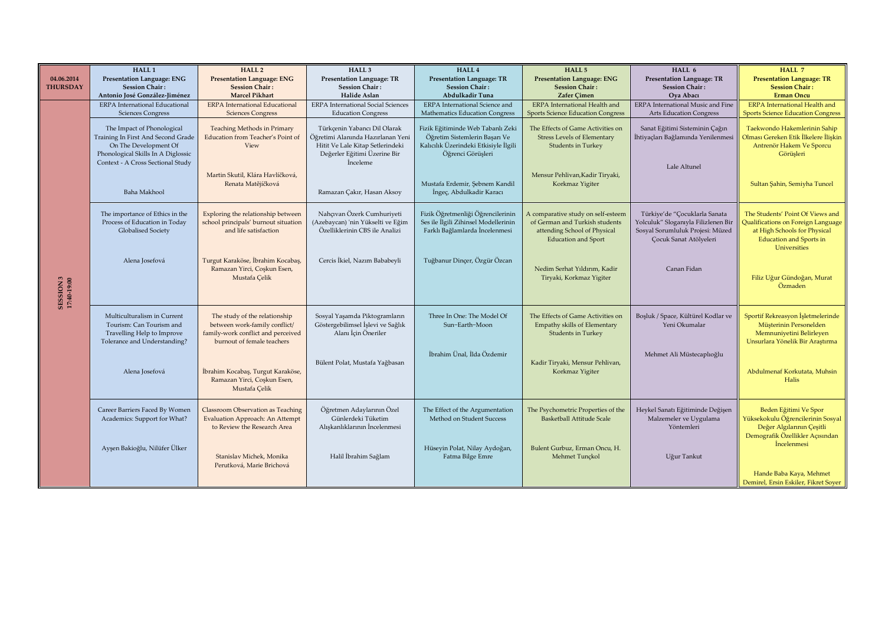| 04.06.2014<br><b>THURSDAY</b> | HALL <sub>1</sub><br><b>Presentation Language: ENG</b><br><b>Session Chair:</b><br>Antonio José González-Jiménez                                                     | <b>HALL2</b><br><b>Presentation Language: ENG</b><br><b>Session Chair:</b><br><b>Marcel Pikhart</b>                                | HALL <sub>3</sub><br><b>Presentation Language: TR</b><br><b>Session Chair:</b><br>Halide Aslan                                                                | HALL 4<br><b>Presentation Language: TR</b><br><b>Session Chair:</b><br>Abdulkadir Tuna                                           | HALL <sub>5</sub><br><b>Presentation Language: ENG</b><br><b>Session Chair:</b><br>Zafer Cimen                                     | HALL 6<br><b>Presentation Language: TR</b><br><b>Session Chair:</b><br>Oya Abacı                                                   | HALL 7<br><b>Presentation Language: TR</b><br><b>Session Chair:</b><br><b>Erman Oncu</b>                                                                 |
|-------------------------------|----------------------------------------------------------------------------------------------------------------------------------------------------------------------|------------------------------------------------------------------------------------------------------------------------------------|---------------------------------------------------------------------------------------------------------------------------------------------------------------|----------------------------------------------------------------------------------------------------------------------------------|------------------------------------------------------------------------------------------------------------------------------------|------------------------------------------------------------------------------------------------------------------------------------|----------------------------------------------------------------------------------------------------------------------------------------------------------|
|                               | <b>ERPA</b> International Educational<br><b>Sciences Congress</b>                                                                                                    | <b>ERPA</b> International Educational<br><b>Sciences Congress</b>                                                                  | <b>ERPA</b> International Social Sciences<br><b>Education Congress</b>                                                                                        | <b>ERPA</b> International Science and<br>Mathematics Education Congress                                                          | <b>ERPA</b> International Health and<br><b>Sports Science Education Congress</b>                                                   | ERPA International Music and Fine<br><b>Arts Education Congress</b>                                                                | <b>ERPA</b> International Health and<br><b>Sports Science Education Congress</b>                                                                         |
|                               | The Impact of Phonological<br>Training In First And Second Grade<br>On The Development Of<br>Phonological Skills In A Diglossic<br>Context - A Cross Sectional Study | <b>Teaching Methods in Primary</b><br>Education from Teacher's Point of<br>View                                                    | Türkçenin Yabancı Dil Olarak<br>.<br>Öğretimi Alanında Hazırlanan Yeni<br>Hitit Ve Lale Kitap Setlerindeki<br>Değerler Eğitimi Üzerine Bir<br><i>inceleme</i> | Fizik Eğitiminde Web Tabanlı Zeki<br>Öğretim Sistemlerin Başarı Ve<br>Kalıcılık Üzerindeki Etkisiyle İlgili<br>Öğrenci Görüsleri | The Effects of Game Activities on<br><b>Stress Levels of Elementary</b><br><b>Students in Turkey</b>                               | Sanat Eğitimi Sisteminin Çağın<br>İhtiyaçları Bağlamında Yenilenmesi                                                               | Taekwondo Hakemlerinin Sahip<br>Olması Gereken Etik İlkelere İlişkin<br>Antrenör Hakem Ve Sporcu<br>Görüşleri                                            |
|                               | Baha Makhool                                                                                                                                                         | Martin Skutil, Klára Havlíčková,<br>Renata Matějíčková                                                                             | Ramazan Cakır, Hasan Aksov                                                                                                                                    | Mustafa Erdemir, Şebnem Kandil<br>İngeç, Abdulkadir Karacı                                                                       | Mensur Pehlivan, Kadir Tiryaki,<br>Korkmaz Yigiter                                                                                 | Lale Altunel                                                                                                                       | Sultan Şahin, Semiyha Tuncel                                                                                                                             |
|                               | The importance of Ethics in the<br>Process of Education in Today<br><b>Globalised Society</b>                                                                        | Exploring the relationship between<br>school principals' burnout situation<br>and life satisfaction                                | Nahçıvan Özerk Cumhuriyeti<br>(Azebaycan) 'nin Yükselti ve Eğim<br>Özelliklerinin CBS ile Analizi                                                             | Fizik Öğretmenliği Öğrencilerinin<br>Ses ile İlgili Zihinsel Modellerinin<br>Farklı Bağlamlarda İncelenmesi                      | A comparative study on self-esteem<br>of German and Turkish students<br>attending School of Physical<br><b>Education and Sport</b> | Türkiye'de "Çocuklarla Sanata<br>Yolculuk" Sloganıyla Filizlenen Bir<br>Sosyal Sorumluluk Projesi: Müzed<br>Cocuk Sanat Atölyeleri | The Students' Point Of Views and<br>Qualifications on Foreign Language<br>at High Schools for Physical<br><b>Education and Sports in</b><br>Universities |
| SESSION 3<br>17:40-19:00      | Alena Josefová                                                                                                                                                       | Turgut Karaköse, İbrahim Kocabaş,<br>Ramazan Yirci, Coskun Esen,<br>Mustafa Çelik                                                  | Cercis İkiel, Nazım Bababeyli                                                                                                                                 | Tuğbanur Dinçer, Özgür Özcan                                                                                                     | Nedim Serhat Yıldırım, Kadir<br>Tiryaki, Korkmaz Yigiter                                                                           | Canan Fidan                                                                                                                        | Filiz Uğur Gündoğan, Murat<br>Özmaden                                                                                                                    |
|                               | Multiculturalism in Current<br>Tourism: Can Tourism and<br>Travelling Help to Improve<br>Tolerance and Understanding?                                                | The study of the relationship<br>between work-family conflict/<br>family-work conflict and perceived<br>burnout of female teachers | Sosyal Yaşamda Piktogramların<br>Göstergebilimsel İşlevi ve Sağlık<br>Alanı İçin Öneriler                                                                     | Three In One: The Model Of<br>Sun-Earth-Moon<br>İbrahim Ünal, İlda Özdemir                                                       | The Effects of Game Activities on<br>Empathy skills of Elementary<br><b>Students in Turkey</b>                                     | Boşluk / Space, Kültürel Kodlar ve<br>Yeni Okumalar<br>Mehmet Ali Müstecaplıoğlu                                                   | Sportif Rekreasyon İşletmelerinde<br>Müsterinin Personelden<br>Memnuniyetini Belirleyen<br>Unsurlara Yönelik Bir Araştırma                               |
|                               | Alena Josefová                                                                                                                                                       | İbrahim Kocabaş, Turgut Karaköse,<br>Ramazan Yirci, Coşkun Esen,<br>Mustafa Çelik                                                  | Bülent Polat, Mustafa Yağbasan                                                                                                                                |                                                                                                                                  | Kadir Tiryaki, Mensur Pehlivan,<br>Korkmaz Yigiter                                                                                 |                                                                                                                                    | Abdulmenaf Korkutata, Muhsin<br>Halis                                                                                                                    |
|                               | Career Barriers Faced By Women<br>Academics: Support for What?                                                                                                       | <b>Classroom Observation as Teaching</b><br>Evaluation Approach: An Attempt<br>to Review the Research Area                         | Öğretmen Adaylarının Özel<br>Günlerdeki Tüketim<br>Alışkanlıklarının İncelenmesi                                                                              | The Effect of the Argumentation<br>Method on Student Success                                                                     | The Psychometric Properties of the<br><b>Basketball Attitude Scale</b>                                                             | Heykel Sanatı Eğitiminde Değişen<br>Malzemeler ve Uygulama<br>Yöntemleri                                                           | Beden Eğitimi Ve Spor<br>Yüksekokulu Öğrencilerinin Sosyal<br>Değer Algılarının Çeşitli<br>Demografik Özellikler Açısından                               |
|                               | Ayşen Bakioğlu, Nilüfer Ülker                                                                                                                                        | Stanislav Michek, Monika<br>Perutková. Marie Brichová                                                                              | Halil İbrahim Sağlam                                                                                                                                          | Hüseyin Polat, Nilay Aydoğan,<br>Fatma Bilge Emre                                                                                | Bulent Gurbuz, Erman Oncu, H.<br>Mehmet Tunckol                                                                                    | Uğur Tankut                                                                                                                        | <i>incelenmesi</i><br>Hande Baba Kaya, Mehmet<br>Demirel, Ersin Eskiler, Fikret Sover                                                                    |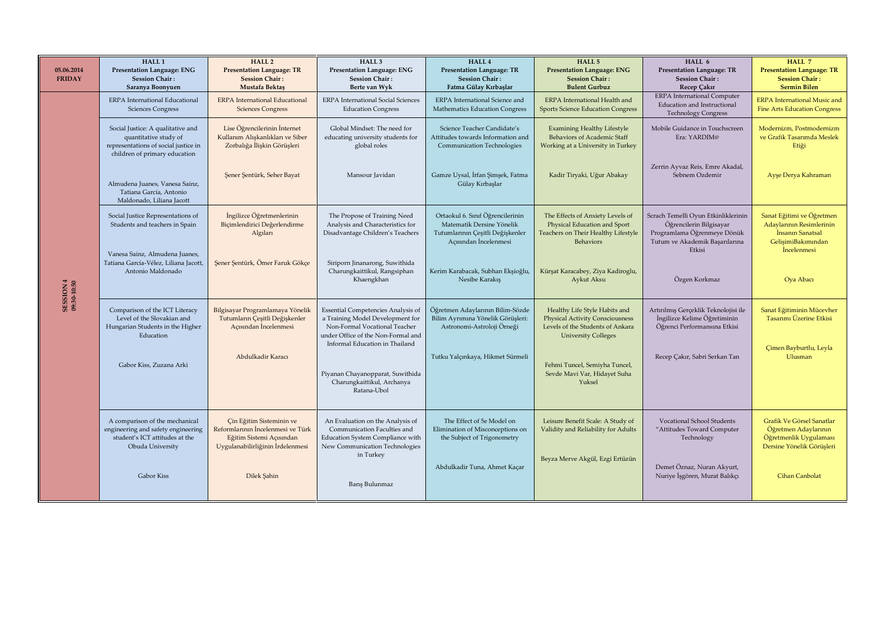| 05.06.2014<br><b>FRIDAY</b> | HALL <sub>1</sub><br><b>Presentation Language: ENG</b><br><b>Session Chair:</b><br>Saranya Boonyuen                                 | <b>HALL 2</b><br><b>Presentation Language: TR</b><br><b>Session Chair:</b><br>Mustafa Bektaş                                  | HALL <sub>3</sub><br>Presentation Language: ENG<br><b>Session Chair:</b><br>Berte van Wyk                                                                                       | HALL <sub>4</sub><br><b>Presentation Language: TR</b><br><b>Session Chair:</b><br>Fatma Gülay Kırbaşlar                    | HALL 5<br><b>Presentation Language: ENG</b><br><b>Session Chair:</b><br><b>Bulent Gurbuz</b>                                              | HALL 6<br><b>Presentation Language: TR</b><br><b>Session Chair:</b><br>Recep Çakır                                                        | HALL 7<br><b>Presentation Language: TR</b><br><b>Session Chair:</b><br><b>Sermin Bilen</b>                     |
|-----------------------------|-------------------------------------------------------------------------------------------------------------------------------------|-------------------------------------------------------------------------------------------------------------------------------|---------------------------------------------------------------------------------------------------------------------------------------------------------------------------------|----------------------------------------------------------------------------------------------------------------------------|-------------------------------------------------------------------------------------------------------------------------------------------|-------------------------------------------------------------------------------------------------------------------------------------------|----------------------------------------------------------------------------------------------------------------|
|                             | <b>ERPA</b> International Educational<br><b>Sciences Congress</b>                                                                   | <b>ERPA</b> International Educational<br><b>Sciences Congress</b>                                                             | <b>ERPA</b> International Social Sciences<br><b>Education Congress</b>                                                                                                          | ERPA International Science and<br><b>Mathematics Education Congress</b>                                                    | <b>ERPA</b> International Health and<br><b>Sports Science Education Congress</b>                                                          | <b>ERPA</b> International Computer<br>Education and Instructional<br><b>Technology Congress</b>                                           | <b>ERPA</b> International Music and<br><b>Fine Arts Education Congress</b>                                     |
|                             | Social Justice: A qualitative and<br>quantitative study of<br>representations of social justice in<br>children of primary education | Lise Öğrencilerinin İnternet<br>Kullanım Alışkanlıkları ve Siber<br>Zorbalığa İlişkin Görüşleri                               | Global Mindset: The need for<br>educating university students for<br>global roles                                                                                               | Science Teacher Candidate's<br>Attitudes towards Information and<br>Communication Technologies                             | <b>Examining Healthy Lifestyle</b><br>Behaviors of Academic Staff<br>Working at a University in Turkey                                    | Mobile Guidance in Touchscreen<br>Era: YARDIM@                                                                                            | Modernizm. Postmodernizm<br>ve Grafik Tasarımda Meslek<br>Etiği                                                |
|                             | Almudena Juanes, Vanesa Sainz,<br>Tatiana García, Antonio<br>Maldonado, Liliana Jacott                                              | Şener Şentürk, Seher Bayat                                                                                                    | Mansour Javidan                                                                                                                                                                 | Gamze Uysal, İrfan Şimşek, Fatma<br>Gülay Kırbaşlar                                                                        | Kadir Tiryaki, Uğur Abakay                                                                                                                | Zerrin Ayvaz Reis, Emre Akadal,<br>Sebnem Ozdemir                                                                                         | Ayşe Derya Kahraman                                                                                            |
|                             | Social Justice Representations of<br>Students and teachers in Spain                                                                 | İngilizce Öğretmenlerinin<br>Biçimlendirici Değerlendirme<br>Algıları                                                         | The Propose of Training Need<br>Analysis and Characteristics for<br>Disadvantage Children's Teachers                                                                            | Ortaokul 6. Sınıf Öğrencilerinin<br>Matematik Dersine Yönelik<br>Tutumlarının Çeşitli Değişkenler<br>Acısından İncelenmesi | The Effects of Anxiety Levels of<br>Physical Education and Sport<br>Teachers on Their Healthy Lifestyle<br>Behaviors                      | Scrach Temelli Oyun Etkinliklerinin<br>Öğrencilerin Bilgisayar<br>Programlama Öğrenmeye Dönük<br>Tutum ve Akademik Başarılarına<br>Etkisi | Sanat Eğitimi ve Öğretmen<br>Adaylarının Resimlerinin<br>İnsanın Sanatsal<br>GelişimiBakımından<br>İncelenmesi |
| SESSION 4<br>09:30-10:50    | Vanesa Sainz, Almudena Juanes,<br>Tatiana García-Vélez, Liliana Jacott,<br>Antonio Maldonado                                        | Şener Şentürk, Ömer Faruk Gökçe                                                                                               | Siriporn Jinanarong, Suwithida<br>Charungkaittikul, Rangsiphan<br>Khaengkhan                                                                                                    | Kerim Karabacak, Subhan Ekşioğlu,<br>Nesibe Karakış                                                                        | Kürşat Karacabey, Ziya Kadiroglu,<br>Aykut Aksu                                                                                           | Özgen Korkmaz                                                                                                                             | Oya Abacı                                                                                                      |
|                             | Comparison of the ICT Literacy<br>Level of the Slovakian and<br>Hungarian Students in the Higher<br>Education                       | Bilgisayar Programlamaya Yönelik<br>Tutumların Çeşitli Değişkenler<br>Acısından İncelenmesi                                   | Essential Competencies Analysis of<br>a Training Model Development for<br>Non-Formal Vocational Teacher<br>under Office of the Non-Formal and<br>Informal Education in Thailand | Öğretmen Adaylarının Bilim-Sözde<br>Bilim Ayrımına Yönelik Görüşleri:<br>Astronomi-Astroloji Örneği                        | Healthy Life Style Habits and<br><b>Physical Activity Consciousness</b><br>Levels of the Students of Ankara<br><b>University Colleges</b> | Artırılmış Gerçeklik Teknolojisi ile<br>İngilizce Kelime Öğretiminin<br>Öğrenci Performansına Etkisi                                      | Sanat Eğitiminin Mücevher<br>Tasarımı Üzerine Etkisi                                                           |
|                             | Gabor Kiss, Zuzana Arki                                                                                                             | Abdulkadir Karacı                                                                                                             | Piyanan Chayanopparat, Suwithida<br>Charungkaittikul, Archanya<br>Ratana-Ubol                                                                                                   | Tutku Yalçınkaya, Hikmet Sürmeli                                                                                           | Fehmi Tuncel, Semiyha Tuncel,<br>Sevde Mavi Var, Hidayet Suha<br>Yuksel                                                                   | Recep Çakır, Sabri Serkan Tan                                                                                                             | Çimen Bayburtlu, Leyla<br>Ulusman                                                                              |
|                             | A comparison of the mechanical<br>engineering and safety engineering<br>student's ICT attitudes at the<br>Obuda University          | Cin Eğitim Sisteminin ve<br>Reformlarının İncelenmesi ve Türk<br>Eğitim Sistemi Açısından<br>Uygulanabilirliğinin İrdelenmesi | An Evaluation on the Analysis of<br>Communication Faculties and<br>Education System Compliance with<br>New Communication Technologies<br>in Turkey                              | The Effect of 5e Model on<br>Elimination of Misconceptions on<br>the Subject of Trigonometry                               | Leisure Benefit Scale: A Study of<br>Validity and Reliability for Adults<br>Beyza Merve Akgül, Ezgi Ertüzün                               | Vocational School Students<br>"Attitudes Toward Computer<br>Technology                                                                    | Grafik Ve Görsel Sanatlar<br>Öğretmen Adaylarının<br>Öğretmenlik Uygulaması<br>Dersine Yönelik Görüsleri       |
|                             | <b>Gabor Kiss</b>                                                                                                                   | Dilek Şahin                                                                                                                   | Barış Bulunmaz                                                                                                                                                                  | Abdulkadir Tuna, Ahmet Kaçar                                                                                               |                                                                                                                                           | Demet Öznaz, Nuran Akyurt,<br>Nuriye İşgören, Murat Balıkçı                                                                               | Cihan Canbolat                                                                                                 |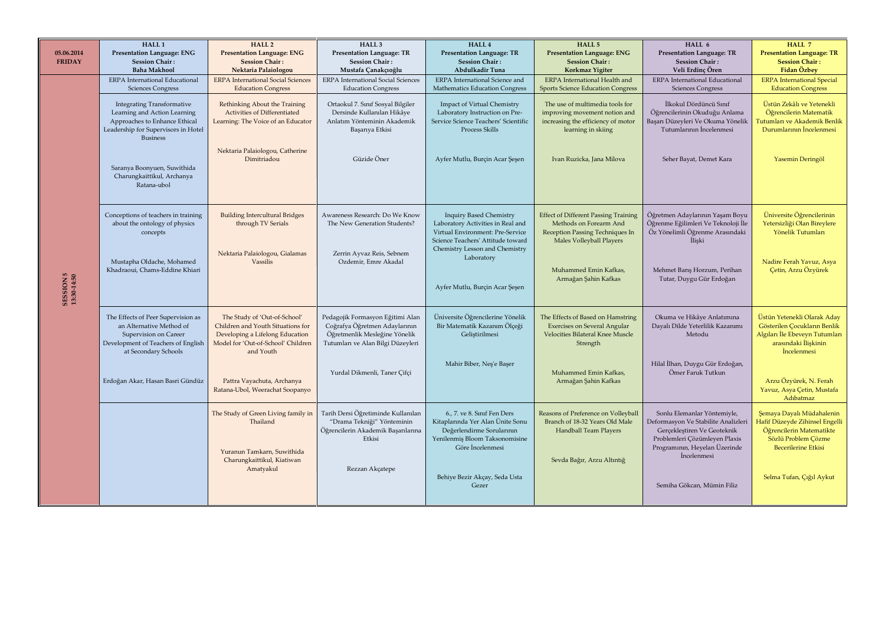| 05.06.2014<br><b>FRIDAY</b> | HALL <sub>1</sub><br><b>Presentation Language: ENG</b><br><b>Session Chair:</b><br><b>Baha Makhool</b>                                                                                                                                   | <b>HALL 2</b><br><b>Presentation Language: ENG</b><br><b>Session Chair:</b><br>Nektaria Palaiologou                                                                                                                      | HALL <sub>3</sub><br><b>Presentation Language: TR</b><br><b>Session Chair:</b><br>Mustafa Çanakçıoğlu                                                                   | HALL 4<br><b>Presentation Language: TR</b><br><b>Session Chair:</b><br>Abdulkadir Tuna                                                                                                                                         | HALL <sub>5</sub><br><b>Presentation Language: ENG</b><br><b>Session Chair:</b><br>Korkmaz Yigiter                                                                                    | HALL 6<br><b>Presentation Language: TR</b><br><b>Session Chair:</b><br>Veli Erdinç Ören                                                                                                                          | HALL 7<br><b>Presentation Language: TR</b><br><b>Session Chair:</b><br>Fidan Özbey                                                                                                                               |
|-----------------------------|------------------------------------------------------------------------------------------------------------------------------------------------------------------------------------------------------------------------------------------|--------------------------------------------------------------------------------------------------------------------------------------------------------------------------------------------------------------------------|-------------------------------------------------------------------------------------------------------------------------------------------------------------------------|--------------------------------------------------------------------------------------------------------------------------------------------------------------------------------------------------------------------------------|---------------------------------------------------------------------------------------------------------------------------------------------------------------------------------------|------------------------------------------------------------------------------------------------------------------------------------------------------------------------------------------------------------------|------------------------------------------------------------------------------------------------------------------------------------------------------------------------------------------------------------------|
|                             | ERPA International Educational<br><b>Sciences Congress</b>                                                                                                                                                                               | <b>ERPA</b> International Social Sciences<br><b>Education Congress</b>                                                                                                                                                   | <b>ERPA</b> International Social Sciences<br><b>Education Congress</b>                                                                                                  | ERPA International Science and<br>Mathematics Education Congress                                                                                                                                                               | ERPA International Health and<br><b>Sports Science Education Congress</b>                                                                                                             | <b>ERPA</b> International Educational<br><b>Sciences Congress</b>                                                                                                                                                | <b>ERPA</b> International Special<br><b>Education Congress</b>                                                                                                                                                   |
| SESSION 5<br>13:30-14:50    | <b>Integrating Transformative</b><br>Learning and Action Learning<br>Approaches to Enhance Ethical<br>Leadership for Supervisors in Hotel<br><b>Business</b><br>Saranya Boonyuen, Suwithida<br>Charungkaittikul, Archanya<br>Ratana-ubol | Rethinking About the Training<br>Activities of Differentiated<br>Learning: The Voice of an Educator<br>Nektaria Palaiologou, Catherine<br>Dimitriadou                                                                    | Ortaokul 7. Sınıf Sosyal Bilgiler<br>Dersinde Kullanılan Hikâye<br>Anlatım Yönteminin Akademik<br>Basarıya Etkisi<br>Güzide Öner                                        | Impact of Virtual Chemistry<br>Laboratory Instruction on Pre-<br>Service Science Teachers' Scientific<br><b>Process Skills</b><br>Ayfer Mutlu, Burçin Acar Şeşen                                                               | The use of multimedia tools for<br>improving movement notion and<br>increasing the efficiency of motor<br>learning in skiing<br>Ivan Ruzicka, Jana Milova                             | İlkokul Dördüncü Sınıf<br>Öğrencilerinin Okuduğu Anlama<br>Başarı Düzeyleri Ve Okuma Yönelik<br>Tutumlarının İncelenmesi<br>Seher Bayat, Demet Kara                                                              | Üstün Zekâlı ve Yetenekli<br>Öğrencilerin Matematik<br>Tutumları ve Akademik Benlik<br>Durumlarının İncelenmesi<br>Yasemin Deringöl                                                                              |
|                             | Conceptions of teachers in training<br>about the ontology of physics<br>concepts<br>Mustapha Oldache, Mohamed<br>Khadraoui, Chams-Eddine Khiari                                                                                          | <b>Building Intercultural Bridges</b><br>through TV Serials<br>Nektaria Palaiologou, Gialamas<br>Vassilis                                                                                                                | Awareness Research: Do We Know<br>The New Generation Students?<br>Zerrin Ayvaz Reis, Sebnem<br>Ozdemir, Emre Akadal                                                     | <b>Inquiry Based Chemistry</b><br>Laboratory Activities in Real and<br>Virtual Environment: Pre-Service<br>Science Teachers' Attitude toward<br>Chemistry Lesson and Chemistry<br>Laboratory<br>Ayfer Mutlu, Burçin Acar Şeşen | <b>Effect of Different Passing Training</b><br>Methods on Forearm And<br>Reception Passing Techniques In<br>Males Volleyball Players<br>Muhammed Emin Kafkas,<br>Armağan Şahin Kafkas | Öğretmen Adaylarının Yaşam Boyu<br>Öğrenme Eğilimleri Ve Teknoloji İle<br>Öz Yönelimli Öğrenme Arasındaki<br><i>Iliski</i><br>Mehmet Barış Horzum, Perihan<br>Tutar, Duygu Gür Erdoğan                           | Üniversite Öğrencilerinin<br>Yetersizliği Olan Bireylere<br>Yönelik Tutumları<br>Nadire Ferah Yavuz, Asya<br>Çetin, Arzu Özyürek                                                                                 |
|                             | The Effects of Peer Supervision as<br>an Alternative Method of<br>Supervision on Career<br>Development of Teachers of English<br>at Secondary Schools<br>Erdoğan Akar, Hasan Basri Gündüz                                                | The Study of 'Out-of-School'<br>Children and Youth Situations for<br>Developing a Lifelong Education<br>Model for 'Out-of-School' Children<br>and Youth<br>Pattra Vayachuta, Archanya<br>Ratana-Ubol, Weerachat Soopanyo | Pedagojik Formasyon Eğitimi Alan<br>Coğrafya Öğretmen Adaylarının<br>Öğretmenlik Mesleğine Yönelik<br>Tutumları ve Alan Bilgi Düzeyleri<br>Yurdal Dikmenli, Taner Çifçi | Üniversite Öğrencilerine Yönelik<br>Bir Matematik Kazanım Ölçeği<br>Gelistirilmesi<br>Mahir Biber, Neş'e Başer                                                                                                                 | The Effects of Based on Hamstring<br><b>Exercises on Several Angular</b><br>Velocities Bilateral Knee Muscle<br>Strength<br>Muhammed Emin Kafkas,<br>Armağan Şahin Kafkas             | Okuma ve Hikâye Anlatımına<br>Dayalı Dilde Yeterlilik Kazanımı<br>Metodu<br>Hilal İlhan, Duygu Gür Erdoğan,<br>Ömer Faruk Tutkun                                                                                 | Üstün Yetenekli Olarak Aday<br>Gösterilen Çocukların Benlik<br>Algıları İle Ebeveyn Tutumları<br>arasındaki İlişkinin<br><i>incelenmesi</i><br>Arzu Özyürek, N. Ferah<br>Yavuz, Asya Çetin, Mustafa<br>Adıbatmaz |
|                             |                                                                                                                                                                                                                                          | The Study of Green Living family in<br>Thailand<br>Yuranun Tamkarn, Suwithida<br>Charungkaittikul, Kiatiwan<br>Amatyakul                                                                                                 | Tarih Dersi Öğretiminde Kullanılan<br>"Drama Tekniği" Yönteminin<br>Öğrencilerin Akademik Başarılarına<br>Etkisi<br>Rezzan Akçatepe                                     | 6., 7. ve 8. Sinif Fen Ders<br>Kitaplarında Yer Alan Ünite Sonu<br>Değerlendirme Sorularının<br>Yenilenmiş Bloom Taksonomisine<br>Göre Incelenmesi<br>Behiye Bezir Akçay, Seda Usta<br>Gezer                                   | Reasons of Preference on Volleyball<br>Branch of 18-32 Years Old Male<br>Handball Team Players<br>Sevda Bağır, Arzu Altıntığ                                                          | Sonlu Elemanlar Yöntemiyle,<br>Deformasyon Ve Stabilite Analizleri<br>Gerçekleştiren Ve Geoteknik<br>Problemleri Çözümleyen Plaxis<br>Programının, Heyelan Üzerinde<br>İncelenmesi<br>Semiha Gökcan, Mümin Filiz | Şemaya Dayalı Müdahalenin<br>Hafif Düzeyde Zihinsel Engelli<br>Öğrencilerin Matematikte<br>Sözlü Problem Çözme<br><b>Becerilerine Etkisi</b><br>Selma Tufan, Çığıl Aykut                                         |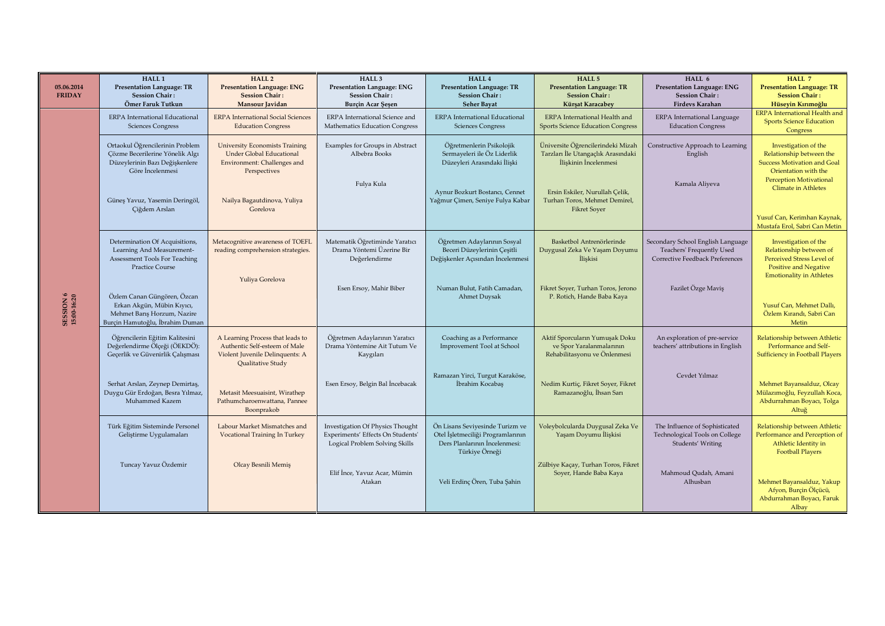| 05.06.2014<br><b>FRIDAY</b> | HALL <sub>1</sub><br><b>Presentation Language: TR</b><br><b>Session Chair:</b><br>Ömer Faruk Tutkun                         | <b>HALL 2</b><br><b>Presentation Language: ENG</b><br><b>Session Chair:</b><br>Mansour Javidan                            | HALL <sub>3</sub><br><b>Presentation Language: ENG</b><br><b>Session Chair:</b><br>Burçin Acar Şeşen    | HALL 4<br><b>Presentation Language: TR</b><br><b>Session Chair:</b><br><b>Seher Bayat</b>                               | HALL 5<br><b>Presentation Language: TR</b><br><b>Session Chair:</b><br>Kürşat Karacabey          | HALL 6<br>Presentation Language: ENG<br><b>Session Chair:</b><br>Firdevs Karahan                  | HALL 7<br><b>Presentation Language: TR</b><br><b>Session Chair:</b><br>Hüseyin Kırımoğlu                                                             |
|-----------------------------|-----------------------------------------------------------------------------------------------------------------------------|---------------------------------------------------------------------------------------------------------------------------|---------------------------------------------------------------------------------------------------------|-------------------------------------------------------------------------------------------------------------------------|--------------------------------------------------------------------------------------------------|---------------------------------------------------------------------------------------------------|------------------------------------------------------------------------------------------------------------------------------------------------------|
|                             | <b>ERPA</b> International Educational<br><b>Sciences Congress</b>                                                           | <b>ERPA</b> International Social Sciences<br><b>Education Congress</b>                                                    | ERPA International Science and<br>Mathematics Education Congress                                        | <b>ERPA</b> International Educational<br><b>Sciences Congress</b>                                                       | ERPA International Health and<br><b>Sports Science Education Congress</b>                        | <b>ERPA</b> International Language<br><b>Education Congress</b>                                   | <b>ERPA</b> International Health and<br><b>Sports Science Education</b><br>Congress                                                                  |
|                             | Ortaokul Öğrencilerinin Problem<br>Çözme Becerilerine Yönelik Algı<br>Düzeylerinin Bazı Değişkenlere<br>Göre Incelenmesi    | <b>University Economists Training</b><br><b>Under Global Educational</b><br>Environment: Challenges and<br>Perspectives   | Examples for Groups in Abstract<br>Albebra Books                                                        | Öğretmenlerin Psikolojik<br>Sermayeleri ile Öz Liderlik<br>Düzeyleri Arasındaki İlişki                                  | Üniversite Öğrencilerindeki Mizah<br>Tarzları İle Utangaçlık Arasındaki<br>İliskinin İncelenmesi | Constructive Approach to Learning<br>English                                                      | Investigation of the<br>Relationship between the<br><b>Success Motivation and Goal</b><br>Orientation with the                                       |
|                             | Güneş Yavuz, Yasemin Deringöl,<br>Çiğdem Arslan                                                                             | Nailya Bagautdinova, Yuliya<br>Gorelova                                                                                   | Fulya Kula                                                                                              | Aynur Bozkurt Bostancı, Cennet<br>Yağmur Çimen, Seniye Fulya Kabar                                                      | Ersin Eskiler, Nurullah Çelik,<br>Turhan Toros, Mehmet Demirel,<br><b>Fikret Soyer</b>           | Kamala Aliyeva                                                                                    | <b>Perception Motivational</b><br><b>Climate in Athletes</b><br>Yusuf Can, Kerimhan Kaynak,                                                          |
|                             | Determination Of Acquisitions,<br>Learning And Measurement-<br>Assessment Tools For Teaching<br><b>Practice Course</b>      | Metacognitive awareness of TOEFL<br>reading comprehension strategies.                                                     | Matematik Öğretiminde Yaratıcı<br>Drama Yöntemi Üzerine Bir<br>Değerlendirme                            | Öğretmen Adaylarının Sosyal<br>Beceri Düzeylerinin Çeşitli<br>Değişkenler Açısından İncelenmesi                         | Basketbol Antrenörlerinde<br>Duygusal Zeka Ve Yaşam Doyumu<br>İliskisi                           | Secondary School English Language<br>Teachers' Frequently Used<br>Corrective Feedback Preferences | Mustafa Erol, Sabri Can Metin<br>Investigation of the<br>Relationship between of<br><b>Perceived Stress Level of</b><br><b>Positive and Negative</b> |
| SESSION 6<br>15:00-16:20    | Özlem Canan Güngören, Özcan<br>Erkan Akgün, Mübin Kıyıcı,<br>Mehmet Barış Horzum, Nazire<br>Burçin Hamutoğlu, İbrahim Duman | Yuliya Gorelova                                                                                                           | Esen Ersoy, Mahir Biber                                                                                 | Numan Bulut, Fatih Camadan,<br>Ahmet Duysak                                                                             | Fikret Soyer, Turhan Toros, Jerono<br>P. Rotich, Hande Baba Kaya                                 | Fazilet Özge Maviş                                                                                | <b>Emotionality in Athletes</b><br>Yusuf Can, Mehmet Dallı,<br>Özlem Kırandı, Sabri Can<br>Metin                                                     |
|                             | Öğrencilerin Eğitim Kalitesini<br>Değerlendirme Ölçeği (ÖEKDÖ):<br>Gecerlik ve Güvenirlik Calısması                         | A Learning Process that leads to<br>Authentic Self-esteem of Male<br>Violent Juvenile Delinquents: A<br>Qualitative Study | Öğretmen Adaylarının Yaratıcı<br>Drama Yöntemine Ait Tutum Ve<br>Kaygıları                              | Coaching as a Performance<br>Improvement Tool at School                                                                 | Aktif Sporcuların Yumuşak Doku<br>ve Spor Yaralanmalarının<br>Rehabilitasyonu ve Önlenmesi       | An exploration of pre-service<br>teachers' attributions in English                                | Relationship between Athletic<br>Performance and Self-<br><b>Sufficiency in Football Players</b>                                                     |
|                             | Serhat Arslan, Zeynep Demirtaş,<br>Duygu Gür Erdoğan, Besra Yılmaz,<br>Muhammed Kazem                                       | Metasit Meesuaisint, Wirathep<br>Pathumcharoenwattana, Pannee<br>Boonprakob                                               | Esen Ersoy, Belgin Bal İncebacak                                                                        | Ramazan Yirci, Turgut Karaköse,<br>İbrahim Kocabaş                                                                      | Nedim Kurtiç, Fikret Soyer, Fikret<br>Ramazanoğlu, İhsan Sarı                                    | Cevdet Yılmaz                                                                                     | Mehmet Bayansalduz, Olcay<br>Mülazımoğlu, Feyzullah Koca,<br>Abdurrahman Boyacı, Tolga<br>Altuğ                                                      |
|                             | Türk Eğitim Sisteminde Personel<br>Geliştirme Uygulamaları                                                                  | Labour Market Mismatches and<br>Vocational Training In Turkey                                                             | Investigation Of Physics Thought<br>Experiments' Effects On Students'<br>Logical Problem Solving Skills | Ön Lisans Seviyesinde Turizm ve<br>Otel İşletmeciliği Programlarının<br>Ders Planlarının İncelenmesi:<br>Türkiye Örneği | Voleybolcularda Duygusal Zeka Ve<br>Yasam Doyumu İliskisi                                        | The Influence of Sophisticated<br>Technological Tools on College<br>Students' Writing             | Relationship between Athletic<br>Performance and Perception of<br>Athletic Identity in<br><b>Football Players</b>                                    |
|                             | Tuncay Yavuz Özdemir                                                                                                        | Olcay Besnili Memiş                                                                                                       | Elif İnce, Yavuz Acar, Mümin<br>Atakan                                                                  | Veli Erdinç Ören, Tuba Şahin                                                                                            | Zülbiye Kaçay, Turhan Toros, Fikret<br>Soyer, Hande Baba Kaya                                    | Mahmoud Qudah, Amani<br>Alhusban                                                                  | Mehmet Bayansalduz, Yakup<br>Afyon, Burcin Ölçücü,<br>Abdurrahman Boyacı, Faruk<br>Albay                                                             |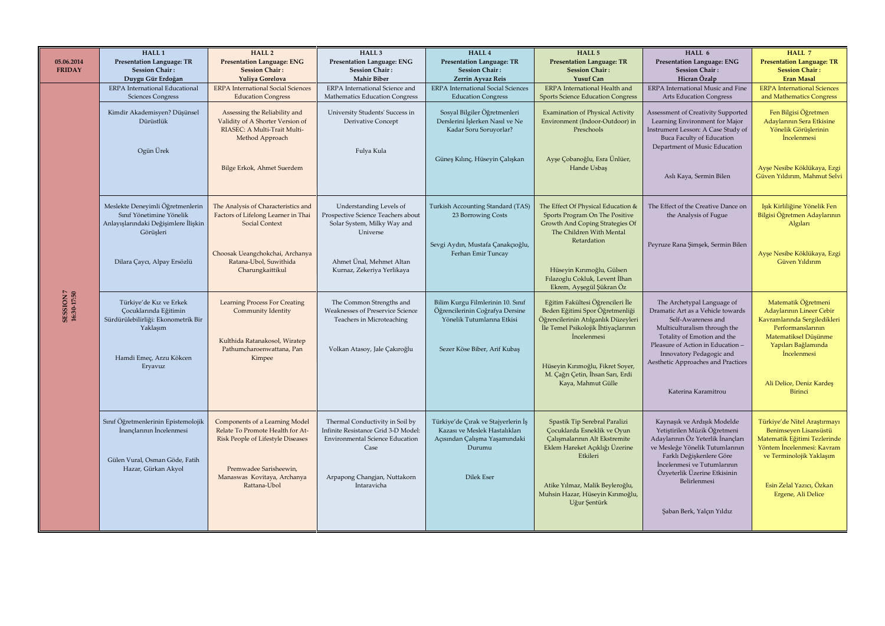| 05.06.2014<br><b>FRIDAY</b> | HALL <sub>1</sub><br><b>Presentation Language: TR</b><br><b>Session Chair:</b><br>Duygu Gür Erdoğan               | <b>HALL 2</b><br><b>Presentation Language: ENG</b><br><b>Session Chair:</b><br>Yuliya Gorelova                       | HALL <sub>3</sub><br>Presentation Language: ENG<br><b>Session Chair:</b><br><b>Mahir Biber</b>                           | HALL 4<br><b>Presentation Language: TR</b><br><b>Session Chair:</b><br>Zerrin Ayvaz Reis                        | HALL 5<br><b>Presentation Language: TR</b><br><b>Session Chair:</b><br><b>Yusuf Can</b>                                                                                 | HALL 6<br>Presentation Language: ENG<br><b>Session Chair:</b><br>Hicran Özalp                                                                                            | HALL 7<br><b>Presentation Language: TR</b><br><b>Session Chair:</b><br><b>Eran Masal</b>                                                        |
|-----------------------------|-------------------------------------------------------------------------------------------------------------------|----------------------------------------------------------------------------------------------------------------------|--------------------------------------------------------------------------------------------------------------------------|-----------------------------------------------------------------------------------------------------------------|-------------------------------------------------------------------------------------------------------------------------------------------------------------------------|--------------------------------------------------------------------------------------------------------------------------------------------------------------------------|-------------------------------------------------------------------------------------------------------------------------------------------------|
|                             | <b>ERPA</b> International Educational<br><b>Sciences Congress</b>                                                 | <b>ERPA</b> International Social Sciences<br><b>Education Congress</b>                                               | ERPA International Science and<br>Mathematics Education Congress                                                         | <b>ERPA</b> International Social Sciences<br><b>Education Congress</b>                                          | ERPA International Health and<br><b>Sports Science Education Congress</b>                                                                                               | ERPA International Music and Fine<br><b>Arts Education Congress</b>                                                                                                      | <b>ERPA</b> International Sciences<br>and Mathematics Congress                                                                                  |
|                             | Kimdir Akademisyen? Düşünsel<br>Dürüstlük<br>Ogün Ürek                                                            | Assessing the Reliability and<br>Validity of A Shorter Version of<br>RIASEC: A Multi-Trait Multi-<br>Method Approach | University Students' Success in<br>Derivative Concept<br>Fulya Kula                                                      | Sosyal Bilgiler Öğretmenleri<br>Derslerini İşlerken Nasıl ve Ne<br>Kadar Soru Soruyorlar?                       | <b>Examination of Physical Activity</b><br>Environment (Indoor-Outdoor) in<br>Preschools                                                                                | Assessment of Creativity Supported<br>Learning Environment for Major<br>Instrument Lesson: A Case Study of<br>Buca Faculty of Education<br>Department of Music Education | Fen Bilgisi Öğretmen<br>Adaylarının Sera Etkisine<br>Yönelik Görüşlerinin<br><i>incelenmesi</i>                                                 |
|                             |                                                                                                                   | Bilge Erkok, Ahmet Suerdem                                                                                           |                                                                                                                          | Güneş Kılınç, Hüseyin Çalışkan                                                                                  | Ayşe Çobanoğlu, Esra Ünlüer,<br>Hande Usbaş                                                                                                                             | Aslı Kaya, Sermin Bilen                                                                                                                                                  | Ayşe Nesibe Köklükaya, Ezgi<br>Güven Yıldırım, Mahmut Selvi                                                                                     |
|                             | Meslekte Deneyimli Öğretmenlerin<br>Sınıf Yönetimine Yönelik<br>Anlayışlarındaki Değişimlere İlişkin<br>Görüsleri | The Analysis of Characteristics and<br>Factors of Lifelong Learner in Thai<br>Social Context                         | Understanding Levels of<br>Prospective Science Teachers about<br>Solar System, Milky Way and<br>Universe                 | Turkish Accounting Standard (TAS)<br>23 Borrowing Costs                                                         | The Effect Of Physical Education &<br>Sports Program On The Positive<br><b>Growth And Coping Strategies Of</b><br>The Children With Mental<br>Retardation               | The Effect of the Creative Dance on<br>the Analysis of Fugue                                                                                                             | Işık Kirliliğine Yönelik Fen<br>Bilgisi Öğretmen Adaylarının<br>Algıları                                                                        |
|                             | Dilara Çaycı, Alpay Ersözlü                                                                                       | Choosak Ueangchokchai, Archanya<br>Ratana-Ubol, Suwithida<br>Charungkaittikul                                        | Ahmet Ünal, Mehmet Altan<br>Kurnaz, Zekeriya Yerlikaya                                                                   | Sevgi Aydın, Mustafa Çanakçıoğlu,<br>Ferhan Emir Tuncay                                                         | Hüseyin Kırımoğlu, Gülsen<br>Fılazoglu Cokluk, Levent İlhan<br>Ekrem, Ayşegül Şükran Öz                                                                                 | Peyruze Rana Şimşek, Sermin Bilen                                                                                                                                        | Ayşe Nesibe Köklükaya, Ezgi<br>Güven Yıldırım                                                                                                   |
| SESSION 7<br>16:30-17:50    | Türkiye'de Kız ve Erkek<br>Çocuklarında Eğitimin<br>Sürdürülebilirliği: Ekonometrik Bir<br>Yaklaşım               | <b>Learning Process For Creating</b><br><b>Community Identity</b><br>Kulthida Ratanakosol, Wiratep                   | The Common Strengths and<br><b>Weaknesses of Preservice Science</b><br>Teachers in Microteaching                         | Bilim Kurgu Filmlerinin 10. Sınıf<br>Öğrencilerinin Coğrafya Dersine<br>Yönelik Tutumlarına Etkisi              | Eğitim Fakültesi Öğrencileri İle<br>Beden Eğitimi Spor Öğretmenliği<br>Öğrencilerinin Atılganlık Düzeyleri<br>İle Temel Psikolojik İhtiyaçlarının<br><i>incelenmesi</i> | The Archetypal Language of<br>Dramatic Art as a Vehicle towards<br>Self-Awareness and<br>Multiculturalism through the<br>Totality of Emotion and the                     | Matematik Öğretmeni<br>Adaylarının Lineer Cebir<br>Kavramlarında Sergiledikleri<br>Performanslarının<br>Matematiksel Düşünme                    |
|                             | Hamdi Emeç, Arzu Kökcen<br>Eryavuz                                                                                | Pathumcharoenwattana, Pan<br>Kimpee                                                                                  | Volkan Atasoy, Jale Çakıroğlu                                                                                            | Sezer Köse Biber, Arif Kubaş                                                                                    | Hüseyin Kırımoğlu, Fikret Soyer,<br>M. Çağrı Çetin, İhsan Sarı, Erdi                                                                                                    | Pleasure of Action in Education -<br>Innovatory Pedagogic and<br>Aesthetic Approaches and Practices                                                                      | Yapıları Bağlamında<br><i>incelenmesi</i>                                                                                                       |
|                             |                                                                                                                   |                                                                                                                      |                                                                                                                          |                                                                                                                 | Kaya, Mahmut Gülle                                                                                                                                                      | Katerina Karamitrou                                                                                                                                                      | Ali Delice, Deniz Kardeş<br>Birinci                                                                                                             |
|                             | Sınıf Öğretmenlerinin Epistemolojik<br>İnanclarının İncelenmesi<br>Gülen Vural, Osman Göde, Fatih                 | Components of a Learning Model<br>Relate To Promote Health for At-<br><b>Risk People of Lifestyle Diseases</b>       | Thermal Conductivity in Soil by<br>Infinite Resistance Grid 3-D Model:<br><b>Environmental Science Education</b><br>Case | Türkiye'de Çırak ve Stajyerlerin İş<br>Kazası ve Meslek Hastalıkları<br>Açısından Çalışma Yaşamındaki<br>Durumu | Spastik Tip Serebral Paralizi<br>Çocuklarda Esneklik ve Oyun<br>Çalışmalarının Alt Ekstremite<br>Eklem Hareket Açıklığı Üzerine<br>Etkileri                             | Kaynaşık ve Ardışık Modelde<br>Yetistirilen Müzik Öğretmeni<br>Adaylarının Öz Yeterlik İnançları<br>ve Mesleğe Yönelik Tutumlarının<br>Farklı Değişkenlere Göre          | Türkiye'de Nitel Araştırmayı<br>Benimseyen Lisansüstü<br>Matematik Eğitimi Tezlerinde<br>Yöntem İncelenmesi: Kavram<br>ve Terminolojik Yaklaşım |
|                             | Hazar, Gürkan Akyol                                                                                               | Premwadee Sarisheewin,<br>Manaswas Kovitaya, Archanya<br>Rattana-Ubol                                                | Arpapong Changjan, Nuttakorn<br>Intaravicha                                                                              | Dilek Eser                                                                                                      | Atike Yılmaz, Malik Beyleroğlu,<br>Muhsin Hazar, Hüseyin Kırımoğlu,<br>Uğur Şentürk                                                                                     | İncelenmesi ve Tutumlarının<br>Özyeterlik Üzerine Etkisinin<br>Belirlenmesi                                                                                              | Esin Zelal Yazıcı, Özkan<br>Ergene, Ali Delice                                                                                                  |
|                             |                                                                                                                   |                                                                                                                      |                                                                                                                          |                                                                                                                 |                                                                                                                                                                         | Şaban Berk, Yalçın Yıldız                                                                                                                                                |                                                                                                                                                 |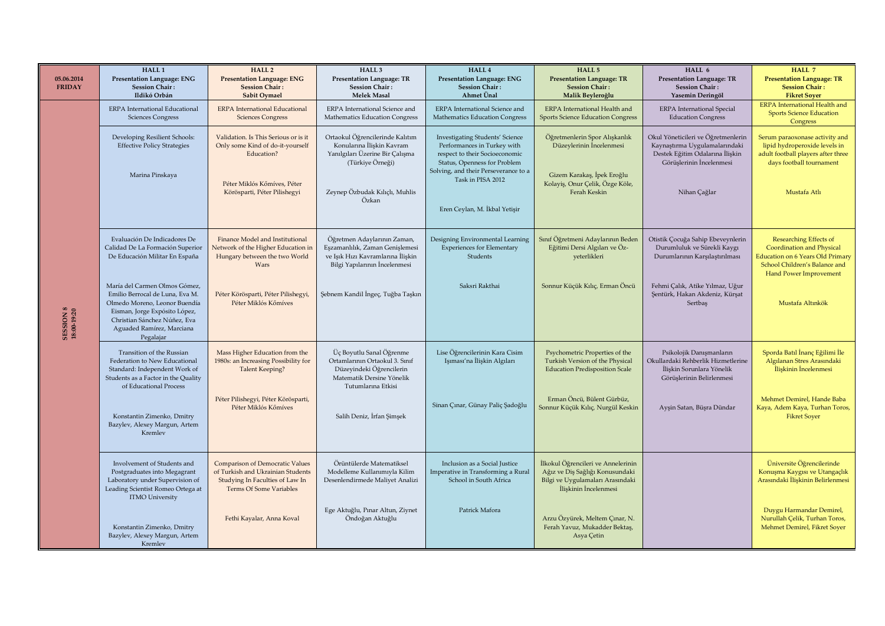| 05.06.2014<br><b>FRIDAY</b>     | HALL <sub>1</sub><br><b>Presentation Language: ENG</b><br><b>Session Chair:</b><br>Ildikó Orbán                                                                                                              | HALL <sub>2</sub><br><b>Presentation Language: ENG</b><br><b>Session Chair:</b><br>Sabit Oymael                                                       | HALL <sub>3</sub><br><b>Presentation Language: TR</b><br><b>Session Chair:</b><br>Melek Masal                                                                  | HALL 4<br><b>Presentation Language: ENG</b><br><b>Session Chair:</b><br>Ahmet Ünal                                                                                                                                                    | HALL 5<br><b>Presentation Language: TR</b><br><b>Session Chair:</b><br>Malik Beyleroğlu                                                    | HALL 6<br><b>Presentation Language: TR</b><br><b>Session Chair:</b><br>Yasemin Deringöl                                                            | HALL 7<br><b>Presentation Language: TR</b><br><b>Session Chair:</b><br><b>Fikret Soyer</b>                                                                              |
|---------------------------------|--------------------------------------------------------------------------------------------------------------------------------------------------------------------------------------------------------------|-------------------------------------------------------------------------------------------------------------------------------------------------------|----------------------------------------------------------------------------------------------------------------------------------------------------------------|---------------------------------------------------------------------------------------------------------------------------------------------------------------------------------------------------------------------------------------|--------------------------------------------------------------------------------------------------------------------------------------------|----------------------------------------------------------------------------------------------------------------------------------------------------|-------------------------------------------------------------------------------------------------------------------------------------------------------------------------|
| <b>SESSION 8</b><br>18:00-19:20 | ERPA International Educational<br><b>Sciences Congress</b>                                                                                                                                                   | <b>ERPA</b> International Educational<br><b>Sciences Congress</b>                                                                                     | ERPA International Science and<br>Mathematics Education Congress                                                                                               | ERPA International Science and<br>Mathematics Education Congress                                                                                                                                                                      | ERPA International Health and<br><b>Sports Science Education Congress</b>                                                                  | <b>ERPA</b> International Special<br><b>Education Congress</b>                                                                                     | <b>ERPA</b> International Health and<br><b>Sports Science Education</b><br>Congress                                                                                     |
|                                 | Developing Resilient Schools:<br><b>Effective Policy Strategies</b><br>Marina Pinskaya                                                                                                                       | Validation. Is This Serious or is it<br>Only some Kind of do-it-yourself<br>Education?<br>Péter Miklós Kőmíves, Péter<br>Körösparti, Péter Pilishegyi | Ortaokul Öğrencilerinde Kalıtım<br>Konularına İliskin Kavram<br>Yanılgıları Üzerine Bir Çalışma<br>(Türkiye Örneği)<br>Zeynep Özbudak Kılıçlı, Muhlis<br>Özkan | <b>Investigating Students' Science</b><br>Performances in Turkey with<br>respect to their Socioeconomic<br>Status, Openness for Problem<br>Solving, and their Perseverance to a<br>Task in PISA 2012<br>Eren Ceylan, M. İkbal Yetişir | Öğretmenlerin Spor Alışkanlık<br>Düzeylerinin İncelenmesi<br>Gizem Karakaş, İpek Eroğlu<br>Kolayiş, Onur Çelik, Özge Köle,<br>Ferah Keskin | Okul Yöneticileri ve Öğretmenlerin<br>Kaynaştırma Uygulamalarındaki<br>Destek Eğitim Odalarına İlişkin<br>Görüşlerinin İncelenmesi<br>Nihan Çağlar | Serum paraoxonase activity and<br>lipid hydroperoxide levels in<br>adult football players after three<br>days football tournament<br>Mustafa Atlı                       |
|                                 | Evaluación De Indicadores De<br>Calidad De La Formación Superior<br>De Educación Militar En España                                                                                                           | Finance Model and Institutional<br>Network of the Higher Education in<br>Hungary between the two World<br>Wars                                        | Öğretmen Adaylarının Zaman,<br>Eşzamanlılık, Zaman Genişlemesi<br>ve Işık Hızı Kavramlarına İlişkin<br>Bilgi Yapılarının İncelenmesi                           | Designing Environmental Learning<br><b>Experiences for Elementary</b><br>Students                                                                                                                                                     | Sınıf Öğretmeni Adaylarının Beden<br>Eğitimi Dersi Algıları ve Öz-<br>yeterlikleri                                                         | Otistik Çocuğa Sahip Ebeveynlerin<br>Durumluluk ve Sürekli Kaygı<br>Durumlarının Karşılaştırılması                                                 | <b>Researching Effects of</b><br><b>Coordination and Physical</b><br><b>Education on 6 Years Old Primary</b><br>School Children's Balance and<br>Hand Power Improvement |
|                                 | María del Carmen Olmos Gómez,<br>Emilio Berrocal de Luna, Eva M.<br>Olmedo Moreno, Leonor Buendía<br>Eisman, Jorge Expósito López,<br>Christian Sánchez Núñez, Eva<br>Aguaded Ramírez, Marciana<br>Pegalajar | Péter Körösparti, Péter Pilishegyi,<br>Péter Miklós Kőmíves                                                                                           | Şebnem Kandil İngeç, Tuğba Taşkın                                                                                                                              | Saksri Rakthai                                                                                                                                                                                                                        | Sonnur Küçük Kılıç, Erman Öncü                                                                                                             | Fehmi Çalık, Atike Yılmaz, Uğur<br>Şentürk, Hakan Akdeniz, Kürşat<br>Sertbaş                                                                       | Mustafa Altınkök                                                                                                                                                        |
|                                 | Transition of the Russian<br>Federation to New Educational<br>Standard: Independent Work of<br>Students as a Factor in the Quality<br>of Educational Process                                                 | Mass Higher Education from the<br>1980s: an Increasing Possibility for<br><b>Talent Keeping?</b>                                                      | Üç Boyutlu Sanal Öğrenme<br>Ortamlarının Ortaokul 3. Sınıf<br>Düzeyindeki Öğrencilerin<br>Matematik Dersine Yönelik<br>Tutumlarına Etkisi                      | Lise Öğrencilerinin Kara Cisim<br>Işıması'na İlişkin Algıları                                                                                                                                                                         | Psychometric Properties of the<br>Turkish Version of the Physical<br><b>Education Predisposition Scale</b>                                 | Psikolojik Danışmanların<br>Okullardaki Rehberlik Hizmetlerine<br>İliskin Sorunlara Yönelik<br>Görüşlerinin Belirlenmesi                           | Sporda Batıl İnanç Eğilimi İle<br>Algılanan Stres Arasındaki<br>İliskinin İncelenmesi                                                                                   |
|                                 | Konstantin Zimenko, Dmitry<br>Bazylev, Alexey Margun, Artem<br>Kremley                                                                                                                                       | Péter Pilishegyi, Péter Körösparti,<br>Péter Miklós Kőmíves                                                                                           | Salih Deniz, İrfan Şimşek                                                                                                                                      | Sinan Çınar, Günay Paliç Şadoğlu                                                                                                                                                                                                      | Erman Öncü, Bülent Gürbüz,<br>Sonnur Küçük Kılıç, Nurgül Keskin                                                                            | Ayşin Satan, Büşra Dündar                                                                                                                          | Mehmet Demirel, Hande Baba<br>Kaya, Adem Kaya, Turhan Toros,<br><b>Fikret Soyer</b>                                                                                     |
|                                 | Involvement of Students and<br>Postgraduates into Megagrant<br>Laboratory under Supervision of<br>Leading Scientist Romeo Ortega at<br><b>ITMO University</b>                                                | <b>Comparison of Democratic Values</b><br>of Turkish and Ukrainian Students<br>Studying In Faculties of Law In<br>Terms Of Some Variables             | Örüntülerde Matematiksel<br>Modelleme Kullanımıyla Kilim<br>Desenlendirmede Maliyet Analizi                                                                    | Inclusion as a Social Justice<br>Imperative in Transforming a Rural<br>School in South Africa                                                                                                                                         | İlkokul Öğrencileri ve Annelerinin<br>Ağız ve Diş Sağlığı Konusundaki<br>Bilgi ve Uygulamaları Arasındaki<br>İliskinin İncelenmesi         |                                                                                                                                                    | Üniversite Öğrencilerinde<br>Konuşma Kaygısı ve Utangaçlık<br>Arasındaki İlişkinin Belirlenmesi                                                                         |
|                                 | Konstantin Zimenko, Dmitry<br>Bazylev, Alexey Margun, Artem<br>Kremlev                                                                                                                                       | Fethi Kayalar, Anna Koval                                                                                                                             | Ege Aktuğlu, Pınar Altun, Ziynet<br>Öndoğan Aktuğlu                                                                                                            | Patrick Mafora                                                                                                                                                                                                                        | Arzu Özyürek, Meltem Çınar, N.<br>Ferah Yavuz, Mukadder Bektaş,<br>Asya Çetin                                                              |                                                                                                                                                    | Duygu Harmandar Demirel,<br>Nurullah Çelik, Turhan Toros,<br>Mehmet Demirel, Fikret Soyer                                                                               |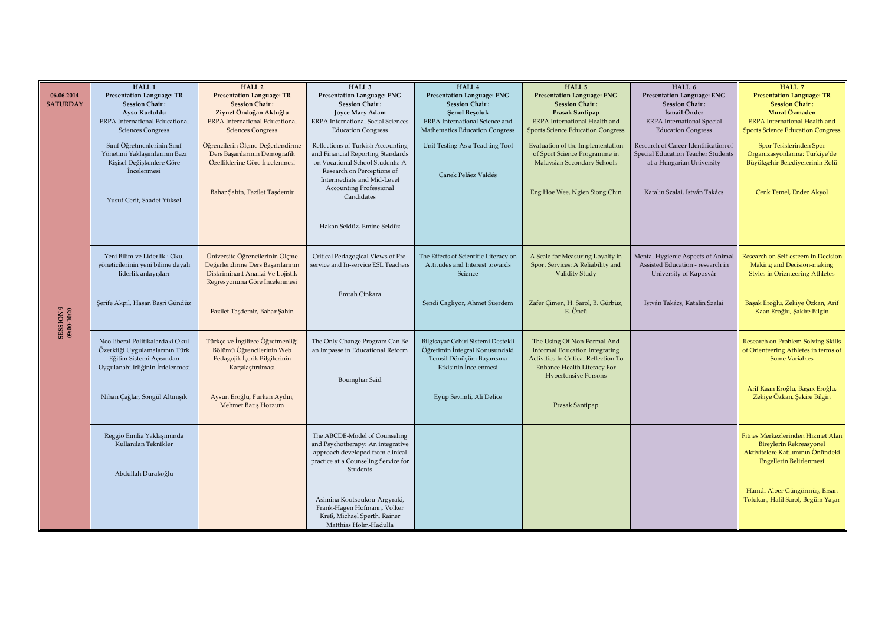|                          | HALL <sub>1</sub>                     | HALL <sub>2</sub>                     | HALL <sub>3</sub>                         | HALL 4                                | HALL <sub>5</sub>                        | HALL 6                               | HALL 7                                   |
|--------------------------|---------------------------------------|---------------------------------------|-------------------------------------------|---------------------------------------|------------------------------------------|--------------------------------------|------------------------------------------|
| 06.06.2014               | <b>Presentation Language: TR</b>      | <b>Presentation Language: TR</b>      | <b>Presentation Language: ENG</b>         | <b>Presentation Language: ENG</b>     | <b>Presentation Language: ENG</b>        | <b>Presentation Language: ENG</b>    | <b>Presentation Language: TR</b>         |
| <b>SATURDAY</b>          | <b>Session Chair:</b>                 | <b>Session Chair:</b>                 | <b>Session Chair:</b>                     | <b>Session Chair:</b>                 | <b>Session Chair:</b>                    | <b>Session Chair:</b>                | <b>Session Chair:</b>                    |
|                          | Aysu Kurtuldu                         | Ziynet Öndoğan Aktuğlu                | <b>Joyce Mary Adam</b>                    | <b>Senol Besoluk</b>                  | Prasak Santipap                          | İsmail Önder                         | Murat Özmaden                            |
|                          | <b>ERPA</b> International Educational | <b>ERPA</b> International Educational | <b>ERPA</b> International Social Sciences | ERPA International Science and        | ERPA International Health and            | <b>ERPA</b> International Special    | <b>ERPA</b> International Health and     |
|                          | <b>Sciences Congress</b>              | <b>Sciences Congress</b>              | <b>Education Congress</b>                 | Mathematics Education Congress        | <b>Sports Science Education Congress</b> | <b>Education Congress</b>            | <b>Sports Science Education Congress</b> |
|                          |                                       |                                       |                                           |                                       |                                          |                                      |                                          |
|                          | Sınıf Öğretmenlerinin Sınıf           | Öğrencilerin Ölçme Değerlendirme      | Reflections of Turkish Accounting         | Unit Testing As a Teaching Tool       | Evaluation of the Implementation         | Research of Career Identification of | Spor Tesislerinden Spor                  |
|                          | Yönetimi Yaklaşımlarının Bazı         | Ders Başarılarının Demografik         | and Financial Reporting Standards         |                                       | of Sport Science Programme in            | Special Education Teacher Students   | Organizasyonlarına: Türkiye'de           |
|                          | Kişisel Değişkenlere Göre             | Özelliklerine Göre İncelenmesi        | on Vocational School Students: A          |                                       | Malaysian Secondary Schools              | at a Hungarian University            | Büyükşehir Belediyelerinin Rolü          |
|                          | <i>incelenmesi</i>                    |                                       | Research on Perceptions of                | Canek Peláez Valdés                   |                                          |                                      |                                          |
|                          |                                       |                                       | Intermediate and Mid-Level                |                                       |                                          |                                      |                                          |
|                          |                                       | Bahar Şahin, Fazilet Taşdemir         | <b>Accounting Professional</b>            |                                       | Eng Hoe Wee, Ngien Siong Chin            | Katalin Szalai, István Takács        | Cenk Temel, Ender Akyol                  |
|                          |                                       |                                       | Candidates                                |                                       |                                          |                                      |                                          |
|                          | Yusuf Cerit, Saadet Yüksel            |                                       |                                           |                                       |                                          |                                      |                                          |
|                          |                                       |                                       |                                           |                                       |                                          |                                      |                                          |
|                          |                                       |                                       |                                           |                                       |                                          |                                      |                                          |
|                          |                                       |                                       | Hakan Seldüz, Emine Seldüz                |                                       |                                          |                                      |                                          |
|                          |                                       |                                       |                                           |                                       |                                          |                                      |                                          |
|                          |                                       |                                       |                                           |                                       |                                          |                                      |                                          |
|                          | Yeni Bilim ve Liderlik: Okul          | Üniversite Öğrencilerinin Ölçme       | Critical Pedagogical Views of Pre-        | The Effects of Scientific Literacy on | A Scale for Measuring Loyalty in         | Mental Hygienic Aspects of Animal    | Research on Self-esteem in Decision      |
|                          | yöneticilerinin yeni bilime dayalı    | Değerlendirme Ders Başarılarının      | service and In-service ESL Teachers       | Attitudes and Interest towards        | Sport Services: A Reliability and        | Assisted Education - research in     | Making and Decision-making               |
|                          | liderlik anlayışları                  | Diskriminant Analizi Ve Lojistik      |                                           | Science                               | Validity Study                           | University of Kaposvár               | <b>Styles in Orienteering Athletes</b>   |
|                          |                                       | Regresyonuna Göre İncelenmesi         |                                           |                                       |                                          |                                      |                                          |
|                          |                                       |                                       |                                           |                                       |                                          |                                      |                                          |
|                          |                                       |                                       | Emrah Cinkara                             |                                       |                                          |                                      |                                          |
|                          | Şerife Akpil, Hasan Basri Gündüz      |                                       |                                           | Sendi Cagliyor, Ahmet Süerdem         | Zafer Çimen, H. Sarol, B. Gürbüz,        | István Takács, Katalin Szalai        | Başak Eroğlu, Zekiye Özkan, Arif         |
|                          |                                       | Fazilet Taşdemir, Bahar Şahin         |                                           |                                       | E. Öncü                                  |                                      | Kaan Eroğlu, Şakire Bilgin               |
|                          |                                       |                                       |                                           |                                       |                                          |                                      |                                          |
| SESSION 9<br>09:00-10:20 |                                       |                                       |                                           |                                       |                                          |                                      |                                          |
|                          |                                       | Türkçe ve İngilizce Öğretmenliği      |                                           |                                       |                                          |                                      |                                          |
|                          | Neo-liberal Politikalardaki Okul      |                                       | The Only Change Program Can Be            | Bilgisayar Cebiri Sistemi Destekli    | The Using Of Non-Formal And              |                                      | Research on Problem Solving Skills       |
|                          | Özerkliği Uygulamalarının Türk        | Bölümü Öğrencilerinin Web             | an Impasse in Educational Reform          | Öğretimin İntegral Konusundaki        | <b>Informal Education Integrating</b>    |                                      | of Orienteering Athletes in terms of     |
|                          | Eğitim Sistemi Açısından              | Pedagojik İçerik Bilgilerinin         |                                           | Temsil Dönüşüm Başarısına             | Activities In Critical Reflection To     |                                      | <b>Some Variables</b>                    |
|                          | Uygulanabilirliğinin İrdelenmesi      | Karşılaştırılması                     |                                           | Etkisinin İncelenmesi                 | Enhance Health Literacy For              |                                      |                                          |
|                          |                                       |                                       | Boumghar Said                             |                                       | <b>Hypertensive Persons</b>              |                                      |                                          |
|                          |                                       |                                       |                                           |                                       |                                          |                                      | Arif Kaan Eroğlu, Başak Eroğlu,          |
|                          | Nihan Çağlar, Songül Altınışık        | Aysun Eroğlu, Furkan Aydın,           |                                           | Eyüp Sevimli, Ali Delice              |                                          |                                      | Zekiye Özkan, Şakire Bilgin              |
|                          |                                       | Mehmet Barıs Horzum                   |                                           |                                       | Prasak Santipap                          |                                      |                                          |
|                          |                                       |                                       |                                           |                                       |                                          |                                      |                                          |
|                          |                                       |                                       |                                           |                                       |                                          |                                      |                                          |
|                          |                                       |                                       |                                           |                                       |                                          |                                      |                                          |
|                          | Reggio Emilia Yaklaşımında            |                                       | The ABCDE-Model of Counseling             |                                       |                                          |                                      | Fitnes Merkezlerinden Hizmet Alan        |
|                          | Kullanılan Teknikler                  |                                       | and Psychotherapy: An integrative         |                                       |                                          |                                      | <b>Bireylerin Rekreasyonel</b>           |
|                          |                                       |                                       | approach developed from clinical          |                                       |                                          |                                      | Aktivitelere Katılımının Önündeki        |
|                          |                                       |                                       | practice at a Counseling Service for      |                                       |                                          |                                      | Engellerin Belirlenmesi                  |
|                          | Abdullah Durakoğlu                    |                                       | Students                                  |                                       |                                          |                                      |                                          |
|                          |                                       |                                       |                                           |                                       |                                          |                                      |                                          |
|                          |                                       |                                       |                                           |                                       |                                          |                                      |                                          |
|                          |                                       |                                       |                                           |                                       |                                          |                                      | Hamdi Alper Güngörmüş, Ersan             |
|                          |                                       |                                       | Asimina Koutsoukou-Argyraki,              |                                       |                                          |                                      | Tolukan, Halil Sarol, Begüm Yaşar        |
|                          |                                       |                                       | Frank-Hagen Hofmann, Volker               |                                       |                                          |                                      |                                          |
|                          |                                       |                                       | Kreß, Michael Sperth, Rainer              |                                       |                                          |                                      |                                          |
|                          |                                       |                                       | Matthias Holm-Hadulla                     |                                       |                                          |                                      |                                          |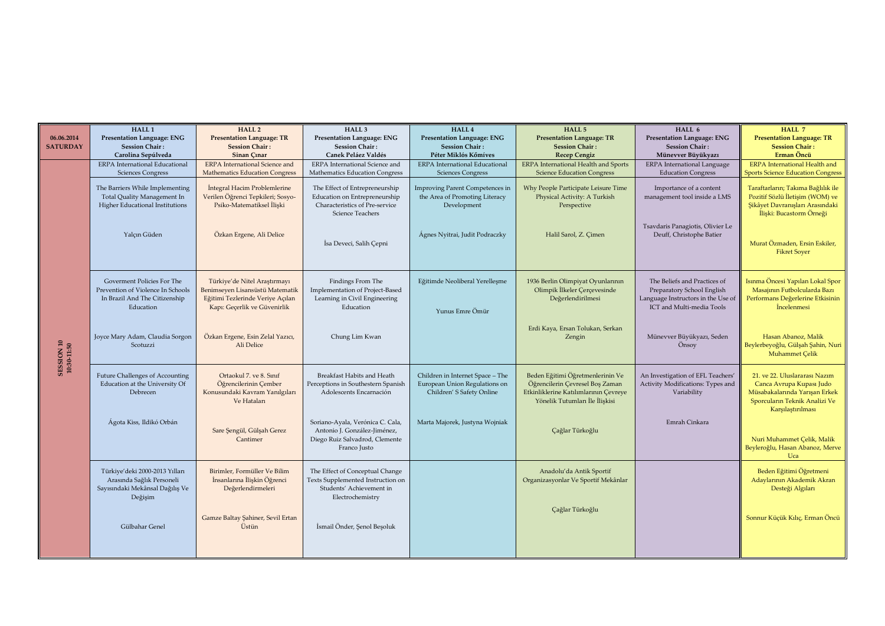|                           | HALL <sub>1</sub>                                                                                                                             | HALL <sub>2</sub>                                                                                                                                                   | HALL <sub>3</sub>                                                                                                                                                                         | HALL 4                                                                                                                                         | HALL 5                                                                                                                                           | HALL 6                                                                                                                                               | HALL 7                                                                                                                                                                                                                                   |
|---------------------------|-----------------------------------------------------------------------------------------------------------------------------------------------|---------------------------------------------------------------------------------------------------------------------------------------------------------------------|-------------------------------------------------------------------------------------------------------------------------------------------------------------------------------------------|------------------------------------------------------------------------------------------------------------------------------------------------|--------------------------------------------------------------------------------------------------------------------------------------------------|------------------------------------------------------------------------------------------------------------------------------------------------------|------------------------------------------------------------------------------------------------------------------------------------------------------------------------------------------------------------------------------------------|
| 06.06.2014                | <b>Presentation Language: ENG</b>                                                                                                             | <b>Presentation Language: TR</b>                                                                                                                                    | Presentation Language: ENG                                                                                                                                                                | Presentation Language: ENG                                                                                                                     | <b>Presentation Language: TR</b>                                                                                                                 | Presentation Language: ENG                                                                                                                           | <b>Presentation Language: TR</b>                                                                                                                                                                                                         |
| <b>SATURDAY</b>           | <b>Session Chair:</b>                                                                                                                         | <b>Session Chair:</b>                                                                                                                                               | <b>Session Chair:</b>                                                                                                                                                                     | <b>Session Chair:</b>                                                                                                                          | <b>Session Chair:</b>                                                                                                                            | <b>Session Chair:</b>                                                                                                                                | <b>Session Chair:</b>                                                                                                                                                                                                                    |
|                           | Carolina Sepúlveda                                                                                                                            | Sinan Cinar                                                                                                                                                         | Canek Peláez Valdés                                                                                                                                                                       | Péter Miklós Kőmíves                                                                                                                           | <b>Recep Cengiz</b>                                                                                                                              | Münevver Büyükyazı                                                                                                                                   | Erman Öncü                                                                                                                                                                                                                               |
|                           | <b>ERPA</b> International Educational                                                                                                         | <b>ERPA</b> International Science and                                                                                                                               | ERPA International Science and                                                                                                                                                            | <b>ERPA</b> International Educational                                                                                                          | <b>ERPA</b> International Health and Sports                                                                                                      | ERPA International Language                                                                                                                          | <b>ERPA</b> International Health and                                                                                                                                                                                                     |
| SESSION 10<br>10:30-11:50 | <b>Sciences Congress</b><br>The Barriers While Implementing<br>Total Quality Management In<br>Higher Educational Institutions<br>Yalçın Güden | <b>Mathematics Education Congress</b><br>Integral Hacim Problemlerine<br>Verilen Öğrenci Tepkileri; Sosyo-<br>Psiko-Matematiksel İlişki<br>Özkan Ergene, Ali Delice | Mathematics Education Congress<br>The Effect of Entrepreneurship<br>Education on Entrepreneurship<br>Characteristics of Pre-service<br><b>Science Teachers</b><br>İsa Deveci, Salih Çepni | <b>Sciences Congress</b><br>Improving Parent Competences in<br>the Area of Promoting Literacy<br>Development<br>Agnes Nyitrai, Judit Podraczky | <b>Science Education Congress</b><br>Why People Participate Leisure Time<br>Physical Activity: A Turkish<br>Perspective<br>Halil Sarol, Z. Çimen | <b>Education Congress</b><br>Importance of a content<br>management tool inside a LMS<br>Tsavdaris Panagiotis, Olivier Le<br>Deuff, Christophe Batier | <b>Sports Science Education Congress</b><br>Taraftarların; Takıma Bağlılık ile<br>Pozitif Sözlü İletisim (WOM) ve<br>Şikâyet Davranışları Arasındaki<br>İlişki: Bucastorm Örneği<br>Murat Özmaden, Ersin Eskiler,<br><b>Fikret Soyer</b> |
|                           | Goverment Policies For The<br>Prevention of Violence In Schools<br>In Brazil And The Citizenship<br>Education                                 | Türkiye'de Nitel Araştırmayı<br>Benimseyen Lisansüstü Matematik<br>Eğitimi Tezlerinde Veriye Açılan<br>Kapı: Geçerlik ve Güvenirlik                                 | Findings From The<br>Implementation of Project-Based<br>Learning in Civil Engineering<br>Education                                                                                        | Eğitimde Neoliberal Yerelleşme<br>Yunus Emre Ömür                                                                                              | 1936 Berlin Olimpiyat Oyunlarının<br>Olimpik İlkeler Çerçevesinde<br>Değerlendirilmesi                                                           | The Beliefs and Practices of<br>Preparatory School English<br>Language Instructors in the Use of<br>ICT and Multi-media Tools                        | Isınma Öncesi Yapılan Lokal Spor<br>Masajının Futbolcularda Bazı<br>Performans Değerlerine Etkisinin<br><i>incelenmesi</i>                                                                                                               |
|                           | Joyce Mary Adam, Claudia Sorgon<br>Scotuzzi                                                                                                   | Özkan Ergene, Esin Zelal Yazıcı,<br>Ali Delice                                                                                                                      | Chung Lim Kwan                                                                                                                                                                            |                                                                                                                                                | Erdi Kaya, Ersan Tolukan, Serkan<br>Zengin                                                                                                       | Münevver Büyükyazı, Seden<br>Önsov                                                                                                                   | Hasan Abanoz, Malik<br>Beylerbeyoğlu, Gülşah Şahin, Nuri<br>Muhammet Çelik                                                                                                                                                               |
|                           | <b>Future Challenges of Accounting</b><br>Education at the University Of<br>Debrecen                                                          | Ortaokul 7. ve 8. Sinif<br>Öğrencilerinin Cember<br>Konusundaki Kavram Yanılgıları<br>Ve Hataları                                                                   | Breakfast Habits and Heath<br>Perceptions in Southestern Spanish<br>Adolescents Encarnación                                                                                               | Children in Internet Space - The<br>European Union Regulations on<br>Children' S Safety Online                                                 | Beden Eğitimi Öğretmenlerinin Ve<br>Öğrencilerin Çevresel Boş Zaman<br>Etkinliklerine Katılımlarının Çevreye<br>Yönelik Tutumları İle İliskisi   | An Investigation of EFL Teachers'<br>Activity Modifications: Types and<br>Variability                                                                | 21. ve 22. Uluslararası Nazım<br>Canca Avrupa Kupası Judo<br>Müsabakalarında Yarısan Erkek<br>Sporcuların Teknik Analizi Ve<br>Karşılaştırılması                                                                                         |
|                           | Ágota Kiss, Ildikó Orbán                                                                                                                      | Sare Şengül, Gülşah Gerez<br>Cantimer                                                                                                                               | Soriano-Ayala, Verónica C. Cala,<br>Antonio J. González-Jiménez,<br>Diego Ruiz Salvadrod, Clemente<br>Franco Justo                                                                        | Marta Majorek, Justyna Wojniak                                                                                                                 | Çağlar Türkoğlu                                                                                                                                  | Emrah Cinkara                                                                                                                                        | Nuri Muhammet Celik, Malik<br>Beyleroğlu, Hasan Abanoz, Merve<br>Uca                                                                                                                                                                     |
|                           | Türkiye'deki 2000-2013 Yılları<br>Arasında Sağlık Personeli<br>Sayısındaki Mekânsal Dağılış Ve<br>Değişim                                     | Birimler, Formüller Ve Bilim<br>İnsanlarına İlişkin Öğrenci<br>Değerlendirmeleri                                                                                    | The Effect of Conceptual Change<br>Texts Supplemented Instruction on<br>Students' Achievement in<br>Electrochemistry                                                                      |                                                                                                                                                | Anadolu'da Antik Sportif<br>Organizasyonlar Ve Sportif Mekânlar                                                                                  |                                                                                                                                                      | Beden Eğitimi Öğretmeni<br>Adaylarının Akademik Akran<br>Desteği Algıları                                                                                                                                                                |
|                           | Gülbahar Genel                                                                                                                                | Gamze Baltay Şahiner, Sevil Ertan<br>Üstün                                                                                                                          | İsmail Önder, Senol Besoluk                                                                                                                                                               |                                                                                                                                                | Çağlar Türkoğlu                                                                                                                                  |                                                                                                                                                      | Sonnur Küçük Kılıç, Erman Öncü                                                                                                                                                                                                           |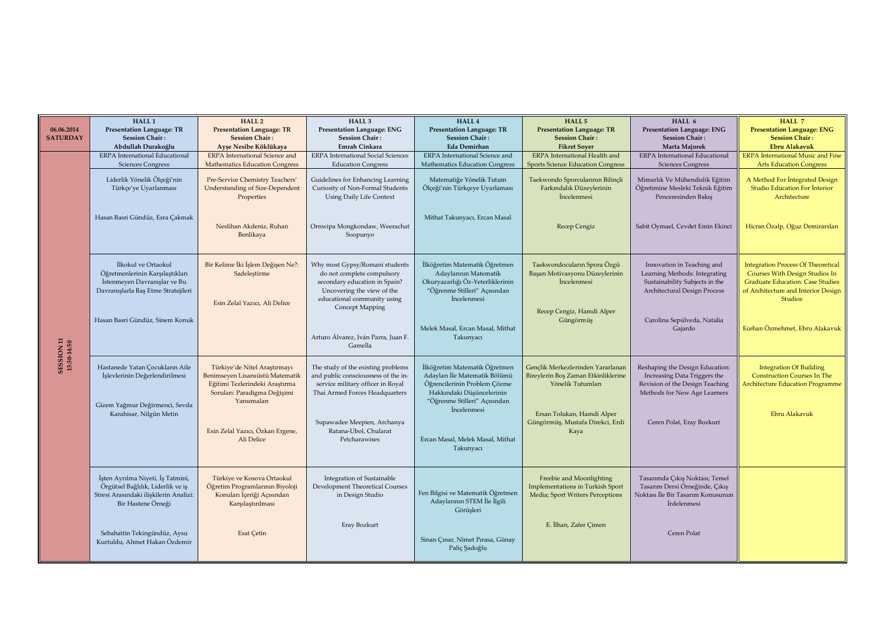|                           | HALL <sub>1</sub>                                               | <b>HALL 2</b>                          | HALL <sub>3</sub>                                           | HALL 4                                                           | HALL 5                                                | HALL 6                                                          | HALL 7                                                                           |
|---------------------------|-----------------------------------------------------------------|----------------------------------------|-------------------------------------------------------------|------------------------------------------------------------------|-------------------------------------------------------|-----------------------------------------------------------------|----------------------------------------------------------------------------------|
| 06.06.2014                | <b>Presentation Language: TR</b>                                | <b>Presentation Language: TR</b>       | <b>Presentation Language: ENG</b>                           | <b>Presentation Language: TR</b>                                 | <b>Presentation Language: TR</b>                      | <b>Presentation Language: ENG</b>                               | <b>Presentation Language: ENG</b>                                                |
| <b>SATURDAY</b>           | <b>Session Chair:</b>                                           | <b>Session Chair:</b>                  | <b>Session Chair:</b>                                       | <b>Session Chair:</b>                                            | <b>Session Chair:</b>                                 | <b>Session Chair:</b>                                           | <b>Session Chair:</b>                                                            |
|                           | Abdullah Durakoğlu                                              | Ayse Nesibe Köklükaya                  | <b>Emrah Cinkara</b>                                        | <b>Eda Demirhan</b>                                              | <b>Fikret Sover</b>                                   | Marta Majorek                                                   | <b>Ebru Alakavuk</b>                                                             |
|                           | <b>ERPA</b> International Educational                           | <b>ERPA</b> International Science and  | <b>ERPA</b> International Social Sciences                   | ERPA International Science and                                   | <b>ERPA</b> International Health and                  | <b>ERPA</b> International Educational                           | <b>ERPA</b> International Music and Fine                                         |
|                           | <b>Sciences Congress</b>                                        | <b>Mathematics Education Congress</b>  | <b>Education Congress</b>                                   | Mathematics Education Congress                                   | <b>Sports Science Education Congress</b>              | <b>Sciences Congress</b>                                        | <b>Arts Education Congress</b>                                                   |
|                           | Liderlik Yönelik Ölçeği'nin                                     | Pre-Service Chemistry Teachers'        | Guidelines for Enhancing Learning                           | Matematiğe Yönelik Tutum                                         | Taekwondo Sporcularının Bilinçli                      | Mimarlık Ve Mühendislik Eğitim                                  | A Method For Integrated Design                                                   |
|                           | Türkçe'ye Uyarlanması                                           | <b>Understanding of Size-Dependent</b> | Curiosity of Non-Formal Students                            | Ölçeği'nin Türkçeye Uyarlaması                                   | Farkındalık Düzeylerinin                              | Öğretimine Mesleki Teknik Eğitim                                | <b>Studio Education For Interior</b>                                             |
|                           |                                                                 | Properties                             | <b>Using Daily Life Context</b>                             |                                                                  | İncelenmesi                                           | Penceresinden Bakış                                             | Architecture                                                                     |
|                           |                                                                 |                                        |                                                             |                                                                  |                                                       |                                                                 |                                                                                  |
|                           |                                                                 |                                        |                                                             |                                                                  |                                                       |                                                                 |                                                                                  |
|                           | Hasan Basri Gündüz, Esra Çakmak                                 |                                        |                                                             | Mithat Takunyacı, Ercan Masal                                    |                                                       |                                                                 |                                                                                  |
|                           |                                                                 | Neslihan Akdeniz, Ruhan                | Ornwipa Mongkondaw, Weerachat<br>Soopunyo                   |                                                                  | Recep Cengiz                                          | Sabit Oymael, Cevdet Emin Ekinci                                | Hicran Özalp, Oğuz Demirarslan                                                   |
|                           |                                                                 | Benlikaya                              |                                                             |                                                                  |                                                       |                                                                 |                                                                                  |
|                           |                                                                 |                                        |                                                             |                                                                  |                                                       |                                                                 |                                                                                  |
|                           |                                                                 |                                        |                                                             |                                                                  |                                                       |                                                                 |                                                                                  |
|                           | İlkokul ve Ortaokul                                             | Bir Kelime İki İşlem Değişen Ne?:      | Why most Gypsy/Romani students                              | İlköğretim Matematik Öğretmen                                    | Taekwondocuların Spora Özgü                           | Innovation in Teaching and                                      | <b>Integration Process Of Theoretical</b>                                        |
|                           | Öğretmenlerinin Karşılaştıkları<br>İstenmeyen Davranışlar ve Bu | Sadelestirme                           | do not complete compulsory<br>secondary education in Spain? | Adaylarının Matematik<br>Okuryazarlığı Öz-Yeterliklerinin        | Basarı Motivasyonu Düzeylerinin<br><i>incelenmesi</i> | Learning Methods: Integrating<br>Sustainability Subjects in the | <b>Courses With Design Studios In</b><br><b>Graduate Education: Case Studies</b> |
|                           | Davranışlarla Baş Etme Stratejileri                             |                                        | Uncovering the view of the                                  | "Öğrenme Stilleri" Açısından                                     |                                                       | <b>Architectural Design Process</b>                             | of Architecture and Interior Design                                              |
|                           |                                                                 |                                        | educational community using                                 | <i>incelenmesi</i>                                               |                                                       |                                                                 | <b>Studios</b>                                                                   |
|                           |                                                                 | Esin Zelal Yazıcı, Ali Delice          | Concept Mapping                                             |                                                                  |                                                       |                                                                 |                                                                                  |
|                           |                                                                 |                                        |                                                             |                                                                  | Recep Cengiz, Hamdi Alper                             | Carolina Sepúlveda, Natalia                                     |                                                                                  |
|                           | Hasan Basri Gündüz, Sinem Konuk                                 |                                        |                                                             | Melek Masal, Ercan Masal, Mithat                                 | Güngörmüş                                             | Gajardo                                                         | Ecehan Özmehmet, Ebru Alakavuk                                                   |
|                           |                                                                 |                                        | Arturo Álvarez, Iván Parra, Juan F.                         | Takunyacı                                                        |                                                       |                                                                 |                                                                                  |
|                           |                                                                 |                                        | Gamella                                                     |                                                                  |                                                       |                                                                 |                                                                                  |
|                           |                                                                 |                                        |                                                             |                                                                  |                                                       |                                                                 |                                                                                  |
| SESSION 11<br>13:30-14:50 | Hastanede Yatan Çocukların Aile                                 | Türkiye'de Nitel Araştırmayı           | The study of the existing problems                          | İlköğretim Matematik Öğretmen                                    | Gençlik Merkezlerinden Yararlanan                     | Reshaping the Design Education:                                 | <b>Integration Of Building</b>                                                   |
|                           | İşlevlerinin Değerlendirilmesi                                  | Benimseyen Lisansüstü Matematik        | and public consciousness of the in-                         | Adayları İle Matematik Bölümü                                    | Bireylerin Boş Zaman Etkinliklerine                   | Increasing Data Triggers the                                    | <b>Construction Courses In The</b>                                               |
|                           |                                                                 | Eğitimi Tezlerindeki Arastırma         | service military officer in Royal                           | Öğrencilerinin Problem Çözme                                     | Yönelik Tutumları                                     | Revision of the Design Teaching                                 | Architecture Education Programme                                                 |
|                           |                                                                 | Soruları: Paradigma Değişimi           | Thai Armed Forces Headquarters                              | Hakkındaki Düşüncelerinin                                        |                                                       | Methods for New Age Learners                                    |                                                                                  |
|                           | Gizem Yağmur Değirmenci, Sevda                                  | Yansımaları                            |                                                             | "Öğrenme Stilleri" Açısından                                     |                                                       |                                                                 |                                                                                  |
|                           | Karahisar, Nilgün Metin                                         |                                        |                                                             | <i>incelenmesi</i>                                               | Ersan Tolukan, Hamdi Alper                            |                                                                 | Ebru Alakavuk                                                                    |
|                           |                                                                 |                                        | Supawadee Meepien, Archanya                                 |                                                                  | Güngörmüş, Mustafa Direkci, Erdi                      | Ceren Polat, Eray Bozkurt                                       |                                                                                  |
|                           |                                                                 | Esin Zelal Yazıcı, Özkan Ergene,       | Ratana-Ubol, Chularat                                       |                                                                  | Kaya                                                  |                                                                 |                                                                                  |
|                           |                                                                 | Ali Delice                             | Petcharawises                                               | Ercan Masal, Melek Masal, Mithat                                 |                                                       |                                                                 |                                                                                  |
|                           |                                                                 |                                        |                                                             | Takunyacı                                                        |                                                       |                                                                 |                                                                                  |
|                           |                                                                 |                                        |                                                             |                                                                  |                                                       |                                                                 |                                                                                  |
|                           |                                                                 |                                        |                                                             |                                                                  |                                                       |                                                                 |                                                                                  |
|                           | İşten Ayrılma Niyeti, İş Tatmini,                               | Türkiye ve Kosova Ortaokul             | Integration of Sustainable                                  |                                                                  | Freebie and Moonlighting                              | Tasarımda Çıkış Noktası; Temel                                  |                                                                                  |
|                           | Örgütsel Bağlılık, Liderlik ve iş                               | Öğretim Programlarının Biyoloji        | Development Theoretical Courses                             |                                                                  | Implementations in Turkish Sport                      | Tasarım Dersi Örneğinde, Çıkıs                                  |                                                                                  |
|                           | Stresi Arasındaki ilişkilerin Analizi:                          | Konuları İçeriği Açısından             | in Design Studio                                            | Fen Bilgisi ve Matematik Öğretmen<br>Adaylarının STEM İle İlgili | Media; Sport Writers Perceptions                      | Noktası İle Bir Tasarım Konusunun                               |                                                                                  |
|                           | Bir Hastene Örneği                                              | Karşılaştırılması                      |                                                             | Görüsleri                                                        |                                                       | İrdelenmesi                                                     |                                                                                  |
|                           |                                                                 |                                        |                                                             |                                                                  |                                                       |                                                                 |                                                                                  |
|                           |                                                                 |                                        | Eray Bozkurt                                                |                                                                  | E. İlhan, Zafer Cimen                                 |                                                                 |                                                                                  |
|                           | Sebahattin Tekingündüz, Aysu                                    | Esat Cetin                             |                                                             |                                                                  |                                                       | Ceren Polat                                                     |                                                                                  |
|                           | Kurtuldu, Ahmet Hakan Özdemir                                   |                                        |                                                             | Sinan Çınar, Nimet Pırasa, Günay                                 |                                                       |                                                                 |                                                                                  |
|                           |                                                                 |                                        |                                                             | Paliç Şadoğlu                                                    |                                                       |                                                                 |                                                                                  |
|                           |                                                                 |                                        |                                                             |                                                                  |                                                       |                                                                 |                                                                                  |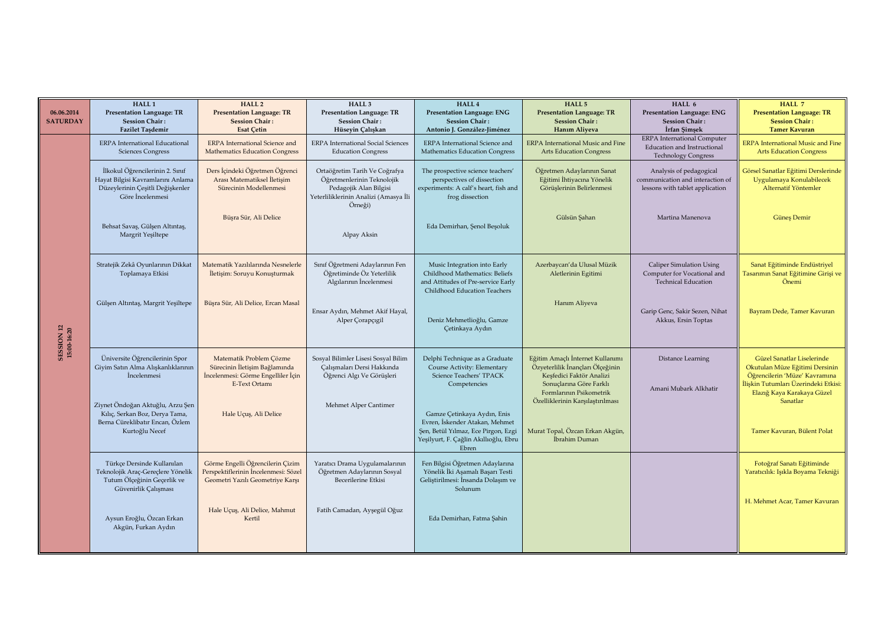| 06.06.2014<br><b>SATURDAY</b>    | HALL <sub>1</sub><br><b>Presentation Language: TR</b><br><b>Session Chair:</b><br><b>Fazilet Taşdemir</b>                    | HALL <sub>2</sub><br><b>Presentation Language: TR</b><br><b>Session Chair:</b><br><b>Esat Cetin</b>             | HALL <sub>3</sub><br><b>Presentation Language: TR</b><br><b>Session Chair:</b><br>Hüseyin Çalışkan                                        | HALL 4<br><b>Presentation Language: ENG</b><br><b>Session Chair:</b><br>Antonio J. González-Jiménez                                                    | HALL 5<br><b>Presentation Language: TR</b><br><b>Session Chair:</b><br>Hanım Aliyeva                                                                                                       | HALL 6<br><b>Presentation Language: ENG</b><br><b>Session Chair:</b><br>İrfan Şimşek                   | HALL 7<br><b>Presentation Language: TR</b><br><b>Session Chair:</b><br><b>Tamer Kavuran</b>                                                                                     |
|----------------------------------|------------------------------------------------------------------------------------------------------------------------------|-----------------------------------------------------------------------------------------------------------------|-------------------------------------------------------------------------------------------------------------------------------------------|--------------------------------------------------------------------------------------------------------------------------------------------------------|--------------------------------------------------------------------------------------------------------------------------------------------------------------------------------------------|--------------------------------------------------------------------------------------------------------|---------------------------------------------------------------------------------------------------------------------------------------------------------------------------------|
|                                  | ERPA International Educational<br><b>Sciences Congress</b>                                                                   | <b>ERPA</b> International Science and<br><b>Mathematics Education Congress</b>                                  | <b>ERPA</b> International Social Sciences<br><b>Education Congress</b>                                                                    | ERPA International Science and<br>Mathematics Education Congress                                                                                       | <b>ERPA</b> International Music and Fine<br><b>Arts Education Congress</b>                                                                                                                 | <b>ERPA</b> International Computer<br><b>Education and Instructional</b><br><b>Technology Congress</b> | <b>ERPA International Music and Fine</b><br><b>Arts Education Congress</b>                                                                                                      |
| <b>SESSION 12</b><br>15:00-16:20 | İlkokul Öğrencilerinin 2. Sınıf<br>Hayat Bilgisi Kavramlarını Anlama<br>Düzeylerinin Çeşitli Değişkenler<br>Göre İncelenmesi | Ders İçindeki Öğretmen Öğrenci<br>Arası Matematiksel İletişim<br>Sürecinin Modellenmesi                         | Ortaöğretim Tarih Ve Coğrafya<br>Öğretmenlerinin Teknolojik<br>Pedagojik Alan Bilgisi<br>Yeterliliklerinin Analizi (Amasya İli<br>Örneği) | The prospective science teachers'<br>perspectives of dissection<br>experiments: A calf's heart, fish and<br>frog dissection                            | Öğretmen Adaylarının Sanat<br>Eğitimi İhtiyacına Yönelik<br>Görüşlerinin Belirlenmesi                                                                                                      | Analysis of pedagogical<br>communication and interaction of<br>lessons with tablet application         | Görsel Sanatlar Eğitimi Derslerinde<br>Uygulamaya Konulabilecek<br>Alternatif Yöntemler                                                                                         |
|                                  | Behsat Savaş, Gülşen Altıntaş,<br>Margrit Yeşiltepe                                                                          | Büşra Sür, Ali Delice                                                                                           | Alpay Aksin                                                                                                                               | Eda Demirhan, Şenol Beşoluk                                                                                                                            | Gülsün Şahan                                                                                                                                                                               | Martina Manenova                                                                                       | Güneş Demir                                                                                                                                                                     |
|                                  | Stratejik Zekâ Oyunlarının Dikkat<br>Toplamaya Etkisi                                                                        | Matematik Yazılılarında Nesnelerle<br>İletişim: Soruyu Konuşturmak                                              | Sınıf Öğretmeni Adaylarının Fen<br>Öğretiminde Öz Yeterlilik<br>Algılarının İncelenmesi                                                   | Music Integration into Early<br>Childhood Mathematics: Beliefs<br>and Attitudes of Pre-service Early<br>Childhood Education Teachers                   | Azerbaycan'da Ulusal Müzik<br>Aletlerinin Egitimi                                                                                                                                          | <b>Caliper Simulation Using</b><br>Computer for Vocational and<br><b>Technical Education</b>           | Sanat Eğitiminde Endüstriyel<br><b>Tasarımın Sanat Eğitimine Girişi ve</b><br>Önemi                                                                                             |
|                                  | Gülşen Altıntaş, Margrit Yeşiltepe                                                                                           | Büşra Sür, Ali Delice, Ercan Masal                                                                              | Ensar Aydın, Mehmet Akif Hayal,<br>Alper Corapçıgil                                                                                       | Deniz Mehmetlioğlu, Gamze<br>Çetinkaya Aydın                                                                                                           | Hanım Aliyeva                                                                                                                                                                              | Garip Genc, Sakir Sezen, Nihat<br>Akkus, Ersin Toptas                                                  | Bayram Dede, Tamer Kavuran                                                                                                                                                      |
|                                  | Üniversite Öğrencilerinin Spor<br>Giyim Satın Alma Alışkanlıklarının<br>İncelenmesi                                          | Matematik Problem Çözme<br>Sürecinin İletisim Bağlamında<br>İncelenmesi: Görme Engelliler İçin<br>E-Text Ortamı | Sosyal Bilimler Lisesi Sosyal Bilim<br>Calısmaları Dersi Hakkında<br>Öğrenci Algı Ve Görüşleri                                            | Delphi Technique as a Graduate<br>Course Activity: Elementary<br>Science Teachers' TPACK<br>Competencies                                               | Eğitim Amaçlı İnternet Kullanımı<br>Özyeterlilik İnançları Ölçeğinin<br>Keşfedici Faktör Analizi<br>Sonuçlarına Göre Farklı<br>Formlarının Psikometrik<br>Özelliklerinin Karşılaştırılması | Distance Learning<br>Amani Mubark Alkhatir                                                             | Güzel Sanatlar Liselerinde<br>Okutulan Müze Eğitimi Dersinin<br>Öğrencilerin 'Müze' Kavramına<br>İlişkin Tutumları Üzerindeki Etkisi:<br>Elazığ Kaya Karakaya Güzel<br>Sanatlar |
|                                  | Ziynet Öndoğan Aktuğlu, Arzu Şen<br>Kılıç, Serkan Boz, Derya Tama,<br>Berna Cüreklibatır Encan, Özlem<br>Kurtoğlu Necef      | Hale Uçuş, Ali Delice                                                                                           | Mehmet Alper Cantimer                                                                                                                     | Gamze Çetinkaya Aydın, Enis<br>Evren, İskender Atakan, Mehmet<br>Şen, Betül Yılmaz, Ece Pirgon, Ezgi<br>Yeşilyurt, F. Çağlin Akıllıoğlu, Ebru<br>Ebren | Murat Topal, Özcan Erkan Akgün,<br>İbrahim Duman                                                                                                                                           |                                                                                                        | Tamer Kavuran, Bülent Polat                                                                                                                                                     |
|                                  | Türkçe Dersinde Kullanılan<br>Teknolojik Araç-Gereçlere Yönelik<br>Tutum Ölçeğinin Geçerlik ve<br>Güvenirlik Çalışması       | Görme Engelli Öğrencilerin Çizim<br>Perspektiflerinin İncelenmesi: Sözel<br>Geometri Yazılı Geometriye Karşı    | Yaratıcı Drama Uygulamalarının<br>Öğretmen Adaylarının Sosyal<br>Becerilerine Etkisi                                                      | Fen Bilgisi Öğretmen Adaylarına<br>Yönelik İki Aşamalı Başarı Testi<br>Geliştirilmesi: İnsanda Dolaşım ve<br>Solunum                                   |                                                                                                                                                                                            |                                                                                                        | Fotoğraf Sanatı Eğitiminde<br>Yaratıcılık: Işıkla Boyama Tekniği                                                                                                                |
|                                  | Aysun Eroğlu, Özcan Erkan<br>Akgün, Furkan Aydın                                                                             | Hale Uçuş, Ali Delice, Mahmut<br>Kertil                                                                         | Fatih Camadan, Ayşegül Oğuz                                                                                                               | Eda Demirhan, Fatma Şahin                                                                                                                              |                                                                                                                                                                                            |                                                                                                        | H. Mehmet Acar, Tamer Kavuran                                                                                                                                                   |